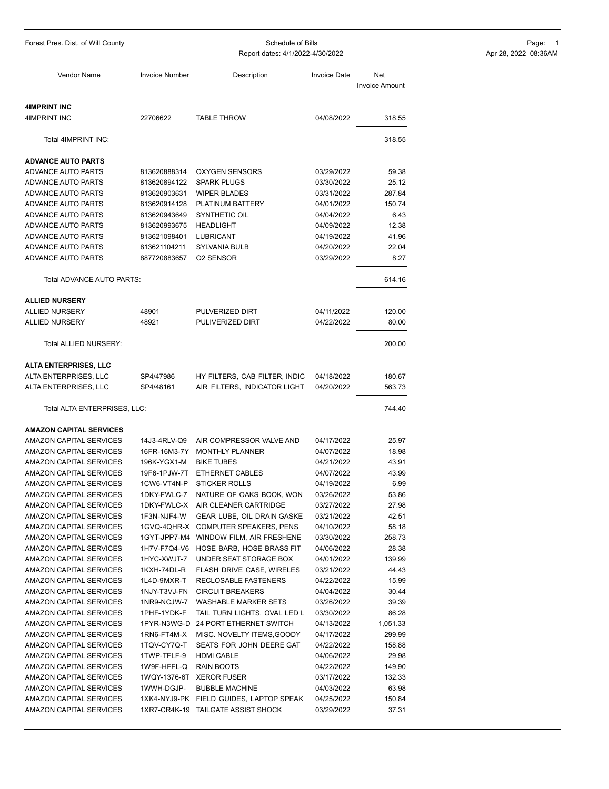| Forest Pres. Dist. of Will County |                       | Page: 1<br>Apr 28, 2022 08:36AM |                     |                                     |  |
|-----------------------------------|-----------------------|---------------------------------|---------------------|-------------------------------------|--|
| Vendor Name                       | <b>Invoice Number</b> | Description                     | <b>Invoice Date</b> | <b>Net</b><br><b>Invoice Amount</b> |  |
| <b>4IMPRINT INC</b>               |                       |                                 |                     |                                     |  |
| 4IMPRINT INC                      | 22706622              | <b>TABLE THROW</b>              | 04/08/2022          | 318.55                              |  |
| Total 4IMPRINT INC:               |                       |                                 |                     | 318.55                              |  |
| <b>ADVANCE AUTO PARTS</b>         |                       |                                 |                     |                                     |  |
| <b>ADVANCE AUTO PARTS</b>         | 813620888314          | <b>OXYGEN SENSORS</b>           | 03/29/2022          | 59.38                               |  |
| <b>ADVANCE AUTO PARTS</b>         | 813620894122          | <b>SPARK PLUGS</b>              | 03/30/2022          | 25.12                               |  |
| ADVANCE AUTO PARTS                | 813620903631          | <b>WIPER BLADES</b>             | 03/31/2022          | 287.84                              |  |
| <b>ADVANCE AUTO PARTS</b>         | 813620914128          | PLATINUM BATTERY                | 04/01/2022          | 150.74                              |  |
| <b>ADVANCE AUTO PARTS</b>         | 813620943649          | <b>SYNTHETIC OIL</b>            | 04/04/2022          | 6.43                                |  |
| <b>ADVANCE AUTO PARTS</b>         | 813620993675          | <b>HEADLIGHT</b>                | 04/09/2022          | 12.38                               |  |
| <b>ADVANCE AUTO PARTS</b>         | 813621098401          | <b>LUBRICANT</b>                | 04/19/2022          | 41.96                               |  |
| <b>ADVANCE AUTO PARTS</b>         | 813621104211          | <b>SYLVANIA BULB</b>            | 04/20/2022          | 22.04                               |  |
| <b>ADVANCE AUTO PARTS</b>         | 887720883657          | <b>O2 SENSOR</b>                | 03/29/2022          | 8.27                                |  |
| Total ADVANCE AUTO PARTS:         |                       |                                 |                     | 614.16                              |  |
| <b>ALLIED NURSERY</b>             |                       |                                 |                     |                                     |  |

| <b>ALLIED NURSERY</b>          | 48901        | PULVERIZED DIRT                        | 04/11/2022 | 120.00 |
|--------------------------------|--------------|----------------------------------------|------------|--------|
| <b>ALLIED NURSERY</b>          | 48921        | PULIVERIZED DIRT                       | 04/22/2022 | 80.00  |
|                                |              |                                        |            |        |
| <b>Total ALLIED NURSERY:</b>   |              |                                        |            | 200.00 |
|                                |              |                                        |            |        |
| <b>ALTA ENTERPRISES, LLC</b>   |              |                                        |            |        |
| ALTA ENTERPRISES, LLC          | SP4/47986    | HY FILTERS, CAB FILTER, INDIC          | 04/18/2022 | 180.67 |
| ALTA ENTERPRISES, LLC          | SP4/48161    | AIR FILTERS, INDICATOR LIGHT           | 04/20/2022 | 563.73 |
|                                |              |                                        |            |        |
| Total ALTA ENTERPRISES, LLC:   |              |                                        |            | 744.40 |
| <b>AMAZON CAPITAL SERVICES</b> |              |                                        |            |        |
| AMAZON CAPITAL SERVICES        | 14J3-4RLV-Q9 | AIR COMPRESSOR VALVE AND               | 04/17/2022 | 25.97  |
| AMAZON CAPITAL SERVICES        | 16FR-16M3-7Y | <b>MONTHLY PLANNER</b>                 | 04/07/2022 | 18.98  |
| AMAZON CAPITAL SERVICES        | 196K-YGX1-M  | <b>BIKE TUBES</b>                      | 04/21/2022 | 43.91  |
| <b>AMAZON CAPITAL SERVICES</b> | 19F6-1PJW-7T | <b>ETHERNET CABLES</b>                 | 04/07/2022 | 43.99  |
| AMAZON CAPITAL SERVICES        | 1CW6-VT4N-P  | <b>STICKER ROLLS</b>                   |            |        |
|                                |              |                                        | 04/19/2022 | 6.99   |
| AMAZON CAPITAL SERVICES        | 1DKY-FWLC-7  | NATURE OF OAKS BOOK, WON               | 03/26/2022 | 53.86  |
| AMAZON CAPITAL SERVICES        | 1DKY-FWLC-X  | AIR CLEANER CARTRIDGE                  | 03/27/2022 | 27.98  |
| AMAZON CAPITAL SERVICES        | 1F3N-NJF4-W  | GEAR LUBE, OIL DRAIN GASKE             | 03/21/2022 | 42.51  |
| AMAZON CAPITAL SERVICES        | 1GVQ-4QHR-X  | COMPUTER SPEAKERS, PENS                | 04/10/2022 | 58.18  |
| AMAZON CAPITAL SERVICES        |              | 1GYT-JPP7-M4 WINDOW FILM, AIR FRESHENE | 03/30/2022 | 258.73 |
| AMAZON CAPITAL SERVICES        | 1H7V-F7Q4-V6 | HOSE BARB, HOSE BRASS FIT              | 04/06/2022 | 28.38  |
| AMAZON CAPITAL SERVICES        | 1HYC-XWJT-7  | UNDER SEAT STORAGE BOX                 | 04/01/2022 | 139.99 |
| AMAZON CAPITAL SERVICES        | 1KXH-74DL-R  | FLASH DRIVE CASE, WIRELES              | 03/21/2022 | 44.43  |
| <b>AMAZON CAPITAL SERVICES</b> | 1L4D-9MXR-T  | <b>RECLOSABLE FASTENERS</b>            | 04/22/2022 | 15.99  |
| AMAZON CAPITAL SERVICES        | 1NJY-T3VJ-FN | <b>CIRCUIT BREAKERS</b>                | 04/04/2022 | 30.44  |
| AMAZON CAPITAL SERVICES        | 1NR9-NCJW-7  | <b>WASHABLE MARKER SETS</b>            | 03/26/2022 | 39.39  |
| <b>AMAZON CAPITAL SERVICES</b> | 1PHF-1YDK-F  | TAIL TURN LIGHTS. OVAL LED L           | 03/30/2022 | 86.28  |

AMAZON CAPITAL SERVICES 1PYR-N3WG-D 24 PORT ETHERNET SWITCH 04/13/2022 1,051.33 AMAZON CAPITAL SERVICES 1RN6-FT4M-X MISC. NOVELTY ITEMS,GOODY 04/17/2022 299.99 AMAZON CAPITAL SERVICES 1TQV-CY7Q-T SEATS FOR JOHN DEERE GAT 04/22/2022 158.88 AMAZON CAPITAL SERVICES 1TWP-TFLF-9 HDMI CABLE 04/06/2022 29.98 AMAZON CAPITAL SERVICES 1W9F-HFFL-Q RAIN BOOTS 04/22/2022 149.90 AMAZON CAPITAL SERVICES 1WQY-1376-6T XEROR FUSER 03/17/2022 132.33 AMAZON CAPITAL SERVICES 1WWH-DGJP- BUBBLE MACHINE 04/03/2022 63.98 AMAZON CAPITAL SERVICES 1XK4-NYJ9-PK FIELD GUIDES, LAPTOP SPEAK 04/25/2022 150.84 AMAZON CAPITAL SERVICES 1XR7-CR4K-19 TAILGATE ASSIST SHOCK 03/29/2022 37.31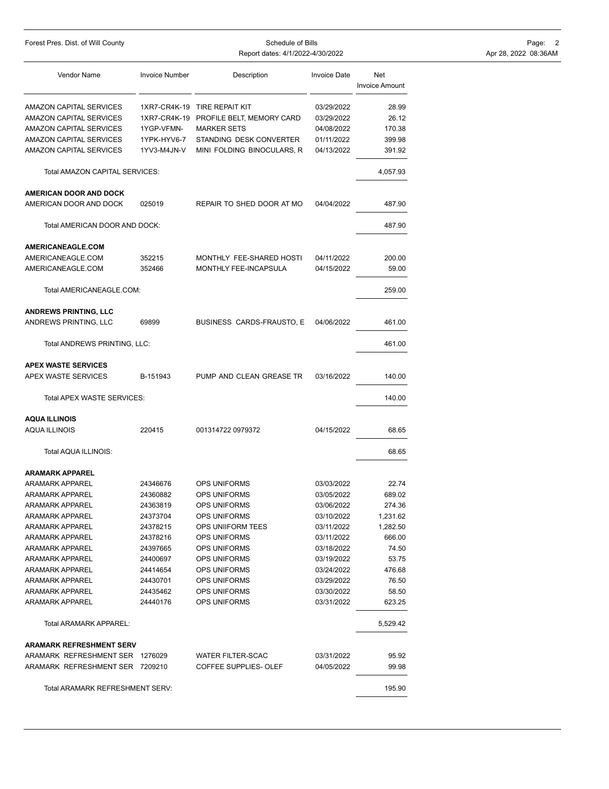| Forest Pres. Dist. of Will County                     |                       | Schedule of Bills                | Page: 2                  |                              |                      |
|-------------------------------------------------------|-----------------------|----------------------------------|--------------------------|------------------------------|----------------------|
|                                                       |                       | Report dates: 4/1/2022-4/30/2022 |                          |                              | Apr 28, 2022 08:36AM |
| Vendor Name                                           | <b>Invoice Number</b> | Description                      | <b>Invoice Date</b>      | Net<br><b>Invoice Amount</b> |                      |
| <b>AMAZON CAPITAL SERVICES</b>                        |                       | 1XR7-CR4K-19 TIRE REPAIT KIT     | 03/29/2022               | 28.99                        |                      |
| <b>AMAZON CAPITAL SERVICES</b>                        | 1XR7-CR4K-19          | PROFILE BELT, MEMORY CARD        | 03/29/2022               | 26.12                        |                      |
| <b>AMAZON CAPITAL SERVICES</b>                        | 1YGP-VFMN-            | <b>MARKER SETS</b>               | 04/08/2022               | 170.38                       |                      |
| <b>AMAZON CAPITAL SERVICES</b>                        | 1YPK-HYV6-7           | STANDING DESK CONVERTER          | 01/11/2022               | 399.98                       |                      |
| AMAZON CAPITAL SERVICES                               | 1YV3-M4JN-V           | MINI FOLDING BINOCULARS, R       | 04/13/2022               | 391.92                       |                      |
| Total AMAZON CAPITAL SERVICES:                        |                       |                                  |                          | 4,057.93                     |                      |
| <b>AMERICAN DOOR AND DOCK</b>                         |                       |                                  |                          |                              |                      |
| AMERICAN DOOR AND DOCK                                | 025019                | REPAIR TO SHED DOOR AT MO        | 04/04/2022               | 487.90                       |                      |
| Total AMERICAN DOOR AND DOCK:                         |                       |                                  |                          | 487.90                       |                      |
| <b>AMERICANEAGLE.COM</b>                              |                       |                                  |                          |                              |                      |
| AMERICANEAGLE.COM                                     | 352215                | MONTHLY FEE-SHARED HOSTI         | 04/11/2022               | 200.00                       |                      |
| AMERICANEAGLE.COM                                     | 352466                | MONTHLY FEE-INCAPSULA            | 04/15/2022               | 59.00                        |                      |
| Total AMERICANEAGLE.COM:                              |                       |                                  |                          | 259.00                       |                      |
| <b>ANDREWS PRINTING, LLC</b><br>ANDREWS PRINTING, LLC | 69899                 | BUSINESS CARDS-FRAUSTO, E        | 04/06/2022               | 461.00                       |                      |
| Total ANDREWS PRINTING, LLC:                          |                       |                                  |                          | 461.00                       |                      |
| <b>APEX WASTE SERVICES</b>                            |                       |                                  |                          |                              |                      |
| APEX WASTE SERVICES                                   | B-151943              | PUMP AND CLEAN GREASE TR         | 03/16/2022               | 140.00                       |                      |
| Total APEX WASTE SERVICES:                            |                       |                                  |                          | 140.00                       |                      |
| <b>AQUA ILLINOIS</b>                                  |                       |                                  |                          |                              |                      |
| <b>AQUA ILLINOIS</b>                                  | 220415                | 001314722 0979372                | 04/15/2022               | 68.65                        |                      |
| Total AQUA ILLINOIS:                                  |                       |                                  |                          | 68.65                        |                      |
| <b>ARAMARK APPAREL</b>                                |                       |                                  |                          |                              |                      |
| <b>ARAMARK APPAREL</b>                                | 24346676              | OPS UNIFORMS                     | 03/03/2022               | 22.74                        |                      |
| ARAMARK APPAREL                                       | 24360882              | OPS UNIFORMS                     | 03/05/2022               | 689.02                       |                      |
| ARAMARK APPAREL                                       | 24363819              | OPS UNIFORMS                     | 03/06/2022               | 274.36                       |                      |
| ARAMARK APPAREL                                       | 24373704              | OPS UNIFORMS                     | 03/10/2022               | 1,231.62                     |                      |
| ARAMARK APPAREL                                       | 24378215              | OPS UNIIFORM TEES                | 03/11/2022               | 1,282.50                     |                      |
| ARAMARK APPAREL                                       | 24378216              | OPS UNIFORMS                     | 03/11/2022               | 666.00                       |                      |
| ARAMARK APPAREL<br>ARAMARK APPAREL                    | 24397665<br>24400697  | OPS UNIFORMS<br>OPS UNIFORMS     | 03/18/2022<br>03/19/2022 | 74.50<br>53.75               |                      |
| ARAMARK APPAREL                                       | 24414654              | OPS UNIFORMS                     | 03/24/2022               | 476.68                       |                      |
| ARAMARK APPAREL                                       | 24430701              | OPS UNIFORMS                     | 03/29/2022               | 76.50                        |                      |
| <b>ARAMARK APPAREL</b>                                | 24435462              | OPS UNIFORMS                     | 03/30/2022               | 58.50                        |                      |
| ARAMARK APPAREL                                       | 24440176              | OPS UNIFORMS                     | 03/31/2022               | 623.25                       |                      |
| Total ARAMARK APPAREL:                                |                       |                                  |                          | 5,529.42                     |                      |
| <b>ARAMARK REFRESHMENT SERV</b>                       |                       |                                  |                          |                              |                      |
| ARAMARK REFRESHMENT SER 1276029                       |                       | <b>WATER FILTER-SCAC</b>         | 03/31/2022               | 95.92                        |                      |
| ARAMARK REFRESHMENT SER 7209210                       |                       | COFFEE SUPPLIES- OLEF            | 04/05/2022               | 99.98                        |                      |
| Total ARAMARK REFRESHMENT SERV:                       |                       |                                  |                          | 195.90                       |                      |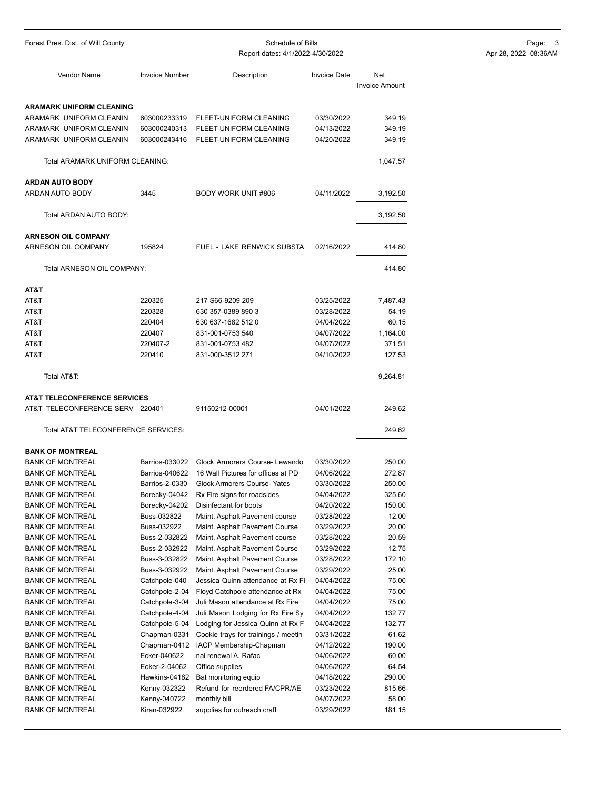| Forest Pres. Dist. of Will County                  | Schedule of Bills<br>Report dates: 4/1/2022-4/30/2022 |                                                                          |                          |                              | Page:<br>-3<br>Apr 28, 2022 08:36AM |
|----------------------------------------------------|-------------------------------------------------------|--------------------------------------------------------------------------|--------------------------|------------------------------|-------------------------------------|
| Vendor Name                                        | <b>Invoice Number</b>                                 | Description                                                              | <b>Invoice Date</b>      | Net<br><b>Invoice Amount</b> |                                     |
| <b>ARAMARK UNIFORM CLEANING</b>                    |                                                       |                                                                          |                          |                              |                                     |
| ARAMARK UNIFORM CLEANIN                            | 603000233319                                          | FLEET-UNIFORM CLEANING                                                   | 03/30/2022               | 349.19                       |                                     |
| ARAMARK UNIFORM CLEANIN                            | 603000240313                                          | FLEET-UNIFORM CLEANING                                                   | 04/13/2022               | 349.19                       |                                     |
| ARAMARK UNIFORM CLEANIN                            | 603000243416                                          | FLEET-UNIFORM CLEANING                                                   | 04/20/2022               | 349.19                       |                                     |
| Total ARAMARK UNIFORM CLEANING:                    |                                                       |                                                                          |                          | 1,047.57                     |                                     |
| <b>ARDAN AUTO BODY</b>                             |                                                       |                                                                          |                          |                              |                                     |
| ARDAN AUTO BODY                                    | 3445                                                  | BODY WORK UNIT #806                                                      | 04/11/2022               | 3,192.50                     |                                     |
| Total ARDAN AUTO BODY:                             |                                                       |                                                                          |                          | 3,192.50                     |                                     |
| <b>ARNESON OIL COMPANY</b>                         |                                                       |                                                                          |                          |                              |                                     |
| ARNESON OIL COMPANY                                | 195824                                                | FUEL - LAKE RENWICK SUBSTA                                               | 02/16/2022               | 414.80                       |                                     |
| Total ARNESON OIL COMPANY:                         |                                                       |                                                                          |                          | 414.80                       |                                     |
| AT&T                                               |                                                       |                                                                          |                          |                              |                                     |
| AT&T                                               | 220325                                                | 217 S66-9209 209                                                         | 03/25/2022               | 7,487.43                     |                                     |
| AT&T                                               | 220328                                                | 630 357-0389 890 3                                                       | 03/28/2022               | 54.19                        |                                     |
| AT&T                                               | 220404                                                | 630 637-1682 512 0                                                       | 04/04/2022               | 60.15                        |                                     |
| AT&T                                               | 220407                                                | 831-001-0753 540                                                         | 04/07/2022               | 1,164.00                     |                                     |
| AT&T                                               | 220407-2                                              | 831-001-0753 482                                                         | 04/07/2022               | 371.51                       |                                     |
| AT&T                                               | 220410                                                | 831-000-3512 271                                                         | 04/10/2022               | 127.53                       |                                     |
| Total AT&T:                                        |                                                       |                                                                          |                          | 9,264.81                     |                                     |
| <b>AT&amp;T TELECONFERENCE SERVICES</b>            |                                                       |                                                                          |                          |                              |                                     |
| AT&T TELECONFERENCE SERV 220401                    |                                                       | 91150212-00001                                                           | 04/01/2022               | 249.62                       |                                     |
| Total AT&T TELECONFERENCE SERVICES:                |                                                       |                                                                          |                          | 249.62                       |                                     |
| <b>BANK OF MONTREAL</b>                            |                                                       |                                                                          |                          |                              |                                     |
| <b>BANK OF MONTREAL</b>                            | Barrios-033022                                        | Glock Armorers Course-Lewando                                            | 03/30/2022               | 250.00                       |                                     |
| <b>BANK OF MONTREAL</b>                            | Barrios-040622                                        | 16 Wall Pictures for offices at PD                                       | 04/06/2022               | 272.87                       |                                     |
| <b>BANK OF MONTREAL</b>                            |                                                       | Barrios-2-0330 Glock Armorers Course-Yates                               | 03/30/2022               | 250.00                       |                                     |
| <b>BANK OF MONTREAL</b>                            | Borecky-04042                                         | Rx Fire signs for roadsides                                              | 04/04/2022               | 325.60                       |                                     |
| <b>BANK OF MONTREAL</b>                            | Borecky-04202                                         | Disinfectant for boots                                                   | 04/20/2022               | 150.00                       |                                     |
| <b>BANK OF MONTREAL</b>                            | Buss-032822                                           | Maint. Asphalt Pavement course                                           | 03/28/2022               | 12.00                        |                                     |
| <b>BANK OF MONTREAL</b>                            | Buss-032922                                           | Maint. Asphalt Pavement Course                                           | 03/29/2022               | 20.00                        |                                     |
| <b>BANK OF MONTREAL</b>                            | Buss-2-032822                                         | Maint. Asphalt Pavement course                                           | 03/28/2022               | 20.59                        |                                     |
| <b>BANK OF MONTREAL</b>                            | Buss-2-032922                                         | Maint. Asphalt Pavement Course                                           | 03/29/2022               | 12.75                        |                                     |
| <b>BANK OF MONTREAL</b>                            | Buss-3-032822                                         | Maint. Asphalt Pavement Course                                           | 03/28/2022               | 172.10                       |                                     |
| <b>BANK OF MONTREAL</b>                            | Buss-3-032922                                         | Maint. Asphalt Pavement Course                                           | 03/29/2022               | 25.00                        |                                     |
| <b>BANK OF MONTREAL</b>                            | Catchpole-040                                         | Jessica Quinn attendance at Rx Fi                                        | 04/04/2022               | 75.00                        |                                     |
| <b>BANK OF MONTREAL</b>                            | Catchpole-2-04                                        | Floyd Catchpole attendance at Rx                                         | 04/04/2022               | 75.00                        |                                     |
| <b>BANK OF MONTREAL</b>                            | Catchpole-3-04                                        | Juli Mason attendance at Rx Fire                                         | 04/04/2022               | 75.00                        |                                     |
| <b>BANK OF MONTREAL</b>                            | Catchpole-4-04                                        | Juli Mason Lodging for Rx Fire Sy                                        | 04/04/2022               | 132.77                       |                                     |
| <b>BANK OF MONTREAL</b><br><b>BANK OF MONTREAL</b> | Catchpole-5-04<br>Chapman-0331                        | Lodging for Jessica Quinn at Rx F<br>Cookie trays for trainings / meetin | 04/04/2022<br>03/31/2022 | 132.77<br>61.62              |                                     |
| <b>BANK OF MONTREAL</b>                            | Chapman-0412                                          | IACP Membership-Chapman                                                  | 04/12/2022               | 190.00                       |                                     |
| <b>BANK OF MONTREAL</b>                            | Ecker-040622                                          | nai renewal A. Rafac                                                     | 04/06/2022               | 60.00                        |                                     |
| <b>BANK OF MONTREAL</b>                            | Ecker-2-04062                                         | Office supplies                                                          | 04/06/2022               | 64.54                        |                                     |
| <b>BANK OF MONTREAL</b>                            | Hawkins-04182                                         | Bat monitoring equip                                                     | 04/18/2022               | 290.00                       |                                     |
| <b>BANK OF MONTREAL</b>                            | Kenny-032322                                          | Refund for reordered FA/CPR/AE                                           | 03/23/2022               | 815.66-                      |                                     |
| <b>BANK OF MONTREAL</b>                            | Kenny-040722                                          | monthly bill                                                             | 04/07/2022               | 58.00                        |                                     |
| <b>BANK OF MONTREAL</b>                            | Kiran-032922                                          | supplies for outreach craft                                              | 03/29/2022               | 181.15                       |                                     |
|                                                    |                                                       |                                                                          |                          |                              |                                     |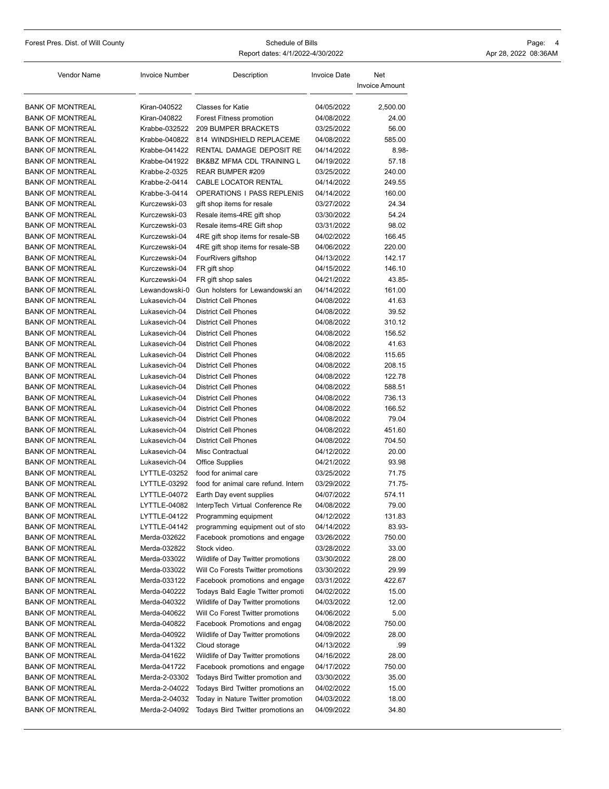Forest Pres. Dist. of Will County Page: 4<br>Report dates: 4/1/2022-4/30/2022 4130/2022 Appr 28, 2022 08:36AM Report dates: 4/1/2022-4/30/2022

| Vendor Name                                        | <b>Invoice Number</b>        | Description                                         | <b>Invoice Date</b>      | Net<br><b>Invoice Amount</b> |
|----------------------------------------------------|------------------------------|-----------------------------------------------------|--------------------------|------------------------------|
| <b>BANK OF MONTREAL</b>                            | Kiran-040522                 | <b>Classes for Katie</b>                            | 04/05/2022               | 2,500.00                     |
| <b>BANK OF MONTREAL</b>                            | Kiran-040822                 | Forest Fitness promotion                            | 04/08/2022               | 24.00                        |
| <b>BANK OF MONTREAL</b>                            | Krabbe-032522                | <b>209 BUMPER BRACKETS</b>                          | 03/25/2022               | 56.00                        |
| <b>BANK OF MONTREAL</b>                            | Krabbe-040822                | 814 WINDSHIELD REPLACEME                            | 04/08/2022               | 585.00                       |
| <b>BANK OF MONTREAL</b>                            | Krabbe-041422                | RENTAL DAMAGE DEPOSIT RE                            | 04/14/2022               | $8.98 -$                     |
| <b>BANK OF MONTREAL</b>                            | Krabbe-041922                | BK&BZ MFMA CDL TRAINING L                           | 04/19/2022               | 57.18                        |
| <b>BANK OF MONTREAL</b>                            | Krabbe-2-0325                | REAR BUMPER #209                                    | 03/25/2022               | 240.00                       |
| <b>BANK OF MONTREAL</b>                            | Krabbe-2-0414                | CABLE LOCATOR RENTAL                                | 04/14/2022               | 249.55                       |
| <b>BANK OF MONTREAL</b>                            | Krabbe-3-0414                | OPERATIONS I PASS REPLENIS                          | 04/14/2022               | 160.00                       |
| <b>BANK OF MONTREAL</b>                            | Kurczewski-03                | gift shop items for resale                          | 03/27/2022               | 24.34                        |
| <b>BANK OF MONTREAL</b>                            | Kurczewski-03                | Resale items-4RE gift shop                          | 03/30/2022               | 54.24                        |
| <b>BANK OF MONTREAL</b>                            | Kurczewski-03                | Resale items-4RE Gift shop                          | 03/31/2022               | 98.02                        |
| <b>BANK OF MONTREAL</b>                            | Kurczewski-04                | 4RE gift shop items for resale-SB                   | 04/02/2022               | 166.45                       |
| <b>BANK OF MONTREAL</b>                            | Kurczewski-04                | 4RE gift shop items for resale-SB                   | 04/06/2022               | 220.00                       |
| <b>BANK OF MONTREAL</b>                            | Kurczewski-04                | FourRivers giftshop                                 | 04/13/2022               | 142.17                       |
| <b>BANK OF MONTREAL</b>                            | Kurczewski-04                | FR gift shop                                        | 04/15/2022               | 146.10                       |
| <b>BANK OF MONTREAL</b>                            | Kurczewski-04                | FR gift shop sales                                  | 04/21/2022               | 43.85-                       |
| <b>BANK OF MONTREAL</b>                            | Lewandowski-0                | Gun holsters for Lewandowski an                     | 04/14/2022               | 161.00                       |
| <b>BANK OF MONTREAL</b>                            | Lukasevich-04                | <b>District Cell Phones</b>                         | 04/08/2022               | 41.63                        |
| <b>BANK OF MONTREAL</b>                            | Lukasevich-04                | <b>District Cell Phones</b>                         | 04/08/2022               | 39.52                        |
| <b>BANK OF MONTREAL</b>                            | Lukasevich-04                | <b>District Cell Phones</b>                         | 04/08/2022               | 310.12                       |
| <b>BANK OF MONTREAL</b>                            | Lukasevich-04                | <b>District Cell Phones</b>                         | 04/08/2022               | 156.52                       |
| <b>BANK OF MONTREAL</b>                            | Lukasevich-04                | <b>District Cell Phones</b>                         | 04/08/2022               | 41.63                        |
| <b>BANK OF MONTREAL</b>                            | Lukasevich-04                | <b>District Cell Phones</b>                         | 04/08/2022               | 115.65                       |
| <b>BANK OF MONTREAL</b>                            | Lukasevich-04                | <b>District Cell Phones</b>                         | 04/08/2022               | 208.15                       |
| <b>BANK OF MONTREAL</b>                            | Lukasevich-04                | <b>District Cell Phones</b>                         | 04/08/2022               | 122.78                       |
| <b>BANK OF MONTREAL</b>                            | Lukasevich-04                | <b>District Cell Phones</b>                         | 04/08/2022               | 588.51                       |
| <b>BANK OF MONTREAL</b>                            | Lukasevich-04                | <b>District Cell Phones</b>                         | 04/08/2022               | 736.13                       |
| <b>BANK OF MONTREAL</b>                            | Lukasevich-04                | <b>District Cell Phones</b>                         | 04/08/2022               | 166.52                       |
| <b>BANK OF MONTREAL</b>                            | Lukasevich-04                | <b>District Cell Phones</b>                         | 04/08/2022               | 79.04                        |
| <b>BANK OF MONTREAL</b>                            | Lukasevich-04                | <b>District Cell Phones</b>                         | 04/08/2022               | 451.60                       |
| <b>BANK OF MONTREAL</b>                            | Lukasevich-04                | <b>District Cell Phones</b>                         | 04/08/2022               | 704.50                       |
| <b>BANK OF MONTREAL</b>                            | Lukasevich-04                | Misc Contractual                                    | 04/12/2022               | 20.00                        |
| <b>BANK OF MONTREAL</b>                            | Lukasevich-04                | <b>Office Supplies</b>                              | 04/21/2022               | 93.98                        |
| <b>BANK OF MONTREAL</b>                            | LYTTLE-03252                 | food for animal care                                | 03/25/2022               | 71.75                        |
| <b>BANK OF MONTREAL</b>                            | LYTTLE-03292                 | food for animal care refund. Intern                 | 03/29/2022               | $71.75 -$                    |
| <b>BANK OF MONTREAL</b>                            | LYTTLE-04072                 | Earth Day event supplies                            | 04/07/2022               | 574.11                       |
| <b>BANK OF MONTREAL</b>                            | LYTTLE-04082                 | InterpTech Virtual Conference Re                    | 04/08/2022               | 79.00                        |
| <b>BANK OF MONTREAL</b>                            | LYTTLE-04122                 | Programming equipment                               | 04/12/2022               | 131.83                       |
| <b>BANK OF MONTREAL</b>                            | LYTTLE-04142                 | programming equipment out of sto                    | 04/14/2022               | 83.93-                       |
| <b>BANK OF MONTREAL</b>                            | Merda-032622                 | Facebook promotions and engage                      | 03/26/2022               | 750.00                       |
| <b>BANK OF MONTREAL</b>                            | Merda-032822                 | Stock video.                                        | 03/28/2022               | 33.00                        |
| <b>BANK OF MONTREAL</b>                            | Merda-033022                 | Wildlife of Day Twitter promotions                  | 03/30/2022               | 28.00                        |
| <b>BANK OF MONTREAL</b>                            | Merda-033022                 | Will Co Forests Twitter promotions                  | 03/30/2022               | 29.99                        |
| <b>BANK OF MONTREAL</b>                            | Merda-033122                 | Facebook promotions and engage                      | 03/31/2022               | 422.67                       |
| <b>BANK OF MONTREAL</b>                            | Merda-040222                 | Todays Bald Eagle Twitter promoti                   | 04/02/2022               | 15.00                        |
| <b>BANK OF MONTREAL</b>                            | Merda-040322                 | Wildlife of Day Twitter promotions                  | 04/03/2022               | 12.00                        |
| <b>BANK OF MONTREAL</b>                            | Merda-040622                 | Will Co Forest Twitter promotions                   | 04/06/2022               | 5.00                         |
| <b>BANK OF MONTREAL</b><br><b>BANK OF MONTREAL</b> | Merda-040822<br>Merda-040922 | Facebook Promotions and engag                       | 04/08/2022<br>04/09/2022 | 750.00<br>28.00              |
| <b>BANK OF MONTREAL</b>                            | Merda-041322                 | Wildlife of Day Twitter promotions<br>Cloud storage | 04/13/2022               | .99                          |
| <b>BANK OF MONTREAL</b>                            | Merda-041622                 | Wildlife of Day Twitter promotions                  | 04/16/2022               | 28.00                        |
| <b>BANK OF MONTREAL</b>                            | Merda-041722                 | Facebook promotions and engage                      | 04/17/2022               | 750.00                       |
| <b>BANK OF MONTREAL</b>                            | Merda-2-03302                | Todays Bird Twitter promotion and                   | 03/30/2022               | 35.00                        |
| <b>BANK OF MONTREAL</b>                            | Merda-2-04022                | Todays Bird Twitter promotions an                   | 04/02/2022               | 15.00                        |
| <b>BANK OF MONTREAL</b>                            | Merda-2-04032                | Today in Nature Twitter promotion                   | 04/03/2022               | 18.00                        |
| <b>BANK OF MONTREAL</b>                            | Merda-2-04092                | Todays Bird Twitter promotions an                   | 04/09/2022               | 34.80                        |
|                                                    |                              |                                                     |                          |                              |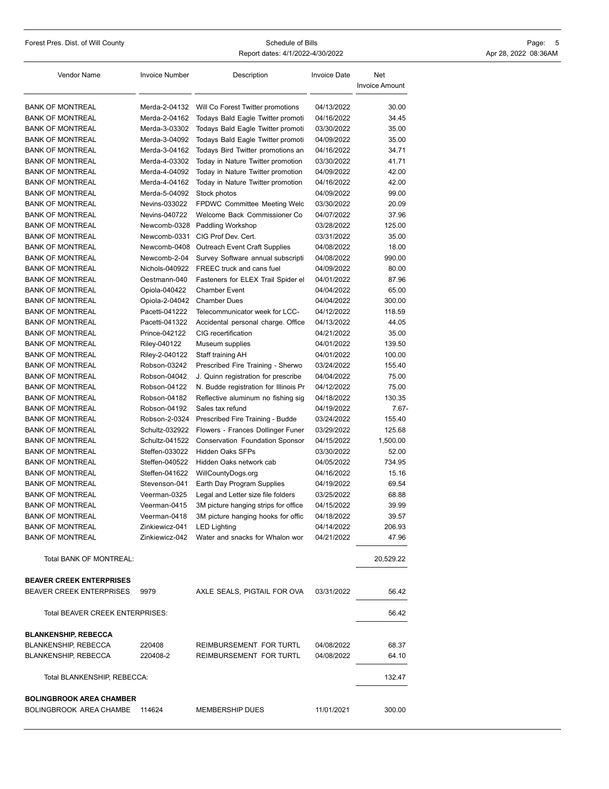Forest Pres. Dist. of Will County Page: 5<br>Report dates: 4/1/2022-4/30/2022 4130/2022 Appr 28, 2022 08:36AM Report dates: 4/1/2022-4/30/2022

| <b>Vendor Name</b>                                                 | <b>Invoice Number</b>            | Description                                                            | Invoice Date             | Net<br><b>Invoice Amount</b> |
|--------------------------------------------------------------------|----------------------------------|------------------------------------------------------------------------|--------------------------|------------------------------|
|                                                                    |                                  |                                                                        |                          |                              |
| <b>BANK OF MONTREAL</b><br><b>BANK OF MONTREAL</b>                 | Merda-2-04132<br>Merda-2-04162   | Will Co Forest Twitter promotions<br>Todays Bald Eagle Twitter promoti | 04/13/2022<br>04/16/2022 | 30.00<br>34.45               |
| <b>BANK OF MONTREAL</b>                                            | Merda-3-03302                    | Todays Bald Eagle Twitter promoti                                      | 03/30/2022               | 35.00                        |
| <b>BANK OF MONTREAL</b>                                            | Merda-3-04092                    | Todays Bald Eagle Twitter promoti                                      | 04/09/2022               | 35.00                        |
| <b>BANK OF MONTREAL</b>                                            | Merda-3-04162                    | Todays Bird Twitter promotions an                                      | 04/16/2022               | 34.71                        |
| <b>BANK OF MONTREAL</b>                                            | Merda-4-03302                    | Today in Nature Twitter promotion                                      | 03/30/2022               | 41.71                        |
| <b>BANK OF MONTREAL</b>                                            | Merda-4-04092                    | Today in Nature Twitter promotion                                      | 04/09/2022               | 42.00                        |
| <b>BANK OF MONTREAL</b>                                            | Merda-4-04162                    | Today in Nature Twitter promotion                                      | 04/16/2022               | 42.00                        |
| <b>BANK OF MONTREAL</b>                                            | Merda-5-04092                    | Stock photos                                                           | 04/09/2022               | 99.00                        |
| <b>BANK OF MONTREAL</b>                                            | Nevins-033022                    | <b>FPDWC Committee Meeting Welc</b>                                    | 03/30/2022               | 20.09                        |
| <b>BANK OF MONTREAL</b>                                            | Nevins-040722                    | Welcome Back Commissioner Co                                           | 04/07/2022               | 37.96                        |
| <b>BANK OF MONTREAL</b>                                            | Newcomb-0328                     | Paddling Workshop                                                      | 03/28/2022               | 125.00                       |
| <b>BANK OF MONTREAL</b>                                            | Newcomb-0331                     | CIG Prof Dev. Cert.                                                    | 03/31/2022               | 35.00                        |
| <b>BANK OF MONTREAL</b>                                            | Newcomb-0408                     | <b>Outreach Event Craft Supplies</b>                                   | 04/08/2022               | 18.00                        |
| <b>BANK OF MONTREAL</b>                                            | Newcomb-2-04                     | Survey Software annual subscripti                                      | 04/08/2022               | 990.00                       |
| <b>BANK OF MONTREAL</b>                                            | Nichols-040922                   | FREEC truck and cans fuel                                              | 04/09/2022               | 80.00                        |
| <b>BANK OF MONTREAL</b>                                            | Oestmann-040                     | Fasteners for ELEX Trail Spider el                                     | 04/01/2022               | 87.96                        |
| <b>BANK OF MONTREAL</b>                                            | Opiola-040422                    | <b>Chamber Event</b>                                                   | 04/04/2022               | 65.00                        |
| <b>BANK OF MONTREAL</b>                                            | Opiola-2-04042                   | <b>Chamber Dues</b>                                                    | 04/04/2022               | 300.00                       |
| <b>BANK OF MONTREAL</b>                                            | Pacetti-041222                   | Telecommunicator week for LCC-                                         | 04/12/2022               | 118.59                       |
| <b>BANK OF MONTREAL</b>                                            | Pacetti-041322                   | Accidental personal charge. Office                                     | 04/13/2022               | 44.05                        |
| <b>BANK OF MONTREAL</b>                                            | Prince-042122                    | CIG recertification                                                    | 04/21/2022               | 35.00                        |
| <b>BANK OF MONTREAL</b>                                            | Riley-040122                     | Museum supplies                                                        | 04/01/2022               | 139.50                       |
| <b>BANK OF MONTREAL</b>                                            | Riley-2-040122                   | Staff training AH                                                      | 04/01/2022               | 100.00                       |
| <b>BANK OF MONTREAL</b>                                            | Robson-03242                     | Prescribed Fire Training - Sherwo                                      | 03/24/2022               | 155.40                       |
| <b>BANK OF MONTREAL</b>                                            | Robson-04042                     | J. Quinn registration for prescribe                                    | 04/04/2022               | 75.00                        |
| <b>BANK OF MONTREAL</b>                                            | Robson-04122                     | N. Budde registration for Illinois Pr                                  | 04/12/2022               | 75.00                        |
| <b>BANK OF MONTREAL</b>                                            | Robson-04182                     | Reflective aluminum no fishing sig                                     | 04/18/2022               | 130.35                       |
| <b>BANK OF MONTREAL</b>                                            | Robson-04192                     | Sales tax refund                                                       | 04/19/2022               | $7.67 -$                     |
| <b>BANK OF MONTREAL</b>                                            | Robson-2-0324                    | Prescribed Fire Training - Budde                                       | 03/24/2022               | 155.40                       |
| <b>BANK OF MONTREAL</b><br><b>BANK OF MONTREAL</b>                 | Schultz-032922<br>Schultz-041522 | Flowers - Frances Dollinger Funer                                      | 03/29/2022<br>04/15/2022 | 125.68                       |
| <b>BANK OF MONTREAL</b>                                            | Steffen-033022                   | Conservation Foundation Sponsor<br><b>Hidden Oaks SFPs</b>             | 03/30/2022               | 1,500.00<br>52.00            |
| <b>BANK OF MONTREAL</b>                                            | Steffen-040522                   | Hidden Oaks network cab                                                | 04/05/2022               | 734.95                       |
| <b>BANK OF MONTREAL</b>                                            | Steffen-041622                   |                                                                        | 04/16/2022               | 15.16                        |
| <b>BANK OF MONTREAL</b>                                            | Stevenson-041                    | WillCountyDogs.org                                                     | 04/19/2022               | 69.54                        |
| <b>BANK OF MONTREAL</b>                                            | Veerman-0325                     | Earth Day Program Supplies<br>Legal and Letter size file folders       | 03/25/2022               | 68.88                        |
| <b>BANK OF MONTREAL</b>                                            | Veerman-0415                     | 3M picture hanging strips for office                                   | 04/15/2022               | 39.99                        |
| <b>BANK OF MONTREAL</b>                                            | Veerman-0418                     | 3M picture hanging hooks for offic                                     | 04/18/2022               | 39.57                        |
| <b>BANK OF MONTREAL</b>                                            | Zinkiewicz-041                   | <b>LED Lighting</b>                                                    | 04/14/2022               | 206.93                       |
| <b>BANK OF MONTREAL</b>                                            | Zinkiewicz-042                   | Water and snacks for Whalon wor                                        | 04/21/2022               | 47.96                        |
| <b>Total BANK OF MONTREAL:</b>                                     |                                  |                                                                        |                          | 20,529.22                    |
|                                                                    |                                  |                                                                        |                          |                              |
| <b>BEAVER CREEK ENTERPRISES</b><br><b>BEAVER CREEK ENTERPRISES</b> |                                  |                                                                        |                          |                              |
|                                                                    | 9979                             | AXLE SEALS, PIGTAIL FOR OVA                                            | 03/31/2022               | 56.42                        |
| Total BEAVER CREEK ENTERPRISES:                                    |                                  |                                                                        |                          | 56.42                        |
| <b>BLANKENSHIP, REBECCA</b>                                        |                                  |                                                                        |                          |                              |
| <b>BLANKENSHIP, REBECCA</b>                                        | 220408                           | REIMBURSEMENT FOR TURTL                                                | 04/08/2022               | 68.37                        |
| <b>BLANKENSHIP, REBECCA</b>                                        | 220408-2                         | REIMBURSEMENT FOR TURTL                                                | 04/08/2022               | 64.10                        |
| Total BLANKENSHIP, REBECCA:                                        |                                  |                                                                        |                          | 132.47                       |
| <b>BOLINGBROOK AREA CHAMBER</b>                                    |                                  |                                                                        |                          |                              |
| BOLINGBROOK AREA CHAMBE                                            | 114624                           | <b>MEMBERSHIP DUES</b>                                                 | 11/01/2021               | 300.00                       |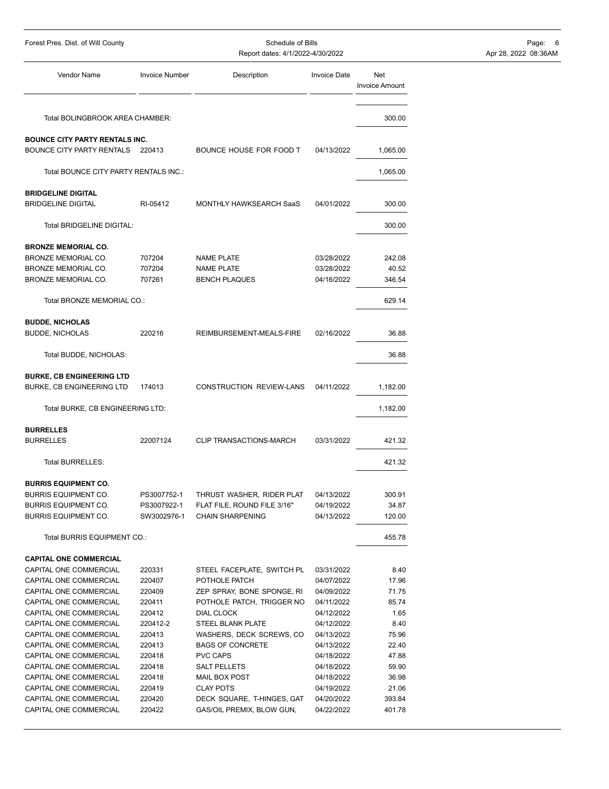| Forest Pres. Dist. of Will County                             | Schedule of Bills<br>Report dates: 4/1/2022-4/30/2022 |                                 |                          | Page: 6<br>Apr 28, 2022 08:36AM |  |
|---------------------------------------------------------------|-------------------------------------------------------|---------------------------------|--------------------------|---------------------------------|--|
| Vendor Name                                                   | <b>Invoice Number</b>                                 | Description                     | <b>Invoice Date</b>      | Net<br><b>Invoice Amount</b>    |  |
| Total BOLINGBROOK AREA CHAMBER:                               |                                                       |                                 |                          | 300.00                          |  |
| <b>BOUNCE CITY PARTY RENTALS INC.</b>                         |                                                       |                                 |                          |                                 |  |
| BOUNCE CITY PARTY RENTALS 220413                              |                                                       | BOUNCE HOUSE FOR FOOD T         | 04/13/2022               | 1,065.00                        |  |
| Total BOUNCE CITY PARTY RENTALS INC.:                         |                                                       |                                 |                          | 1,065.00                        |  |
|                                                               |                                                       |                                 |                          |                                 |  |
| <b>BRIDGELINE DIGITAL</b><br><b>BRIDGELINE DIGITAL</b>        | RI-05412                                              | MONTHLY HAWKSEARCH SaaS         | 04/01/2022               | 300.00                          |  |
| Total BRIDGELINE DIGITAL:                                     |                                                       |                                 |                          | 300.00                          |  |
|                                                               |                                                       |                                 |                          |                                 |  |
| <b>BRONZE MEMORIAL CO.</b><br>BRONZE MEMORIAL CO.             | 707204                                                | <b>NAME PLATE</b>               | 03/28/2022               | 242.08                          |  |
| <b>BRONZE MEMORIAL CO.</b>                                    | 707204                                                | <b>NAME PLATE</b>               | 03/28/2022               | 40.52                           |  |
| BRONZE MEMORIAL CO.                                           | 707261                                                | <b>BENCH PLAQUES</b>            | 04/16/2022               | 346.54                          |  |
| Total BRONZE MEMORIAL CO.:                                    |                                                       |                                 |                          | 629.14                          |  |
|                                                               |                                                       |                                 |                          |                                 |  |
| <b>BUDDE, NICHOLAS</b><br><b>BUDDE, NICHOLAS</b>              | 220216                                                | REIMBURSEMENT-MEALS-FIRE        | 02/16/2022               | 36.88                           |  |
| Total BUDDE, NICHOLAS:                                        |                                                       |                                 |                          | 36.88                           |  |
|                                                               |                                                       |                                 |                          |                                 |  |
| <b>BURKE, CB ENGINEERING LTD</b><br>BURKE, CB ENGINEERING LTD | 174013                                                | CONSTRUCTION REVIEW-LANS        | 04/11/2022               | 1,182.00                        |  |
| Total BURKE, CB ENGINEERING LTD:                              |                                                       |                                 |                          | 1,182.00                        |  |
| <b>BURRELLES</b>                                              |                                                       |                                 |                          |                                 |  |
| <b>BURRELLES</b>                                              | 22007124                                              | CLIP TRANSACTIONS-MARCH         | 03/31/2022               | 421.32                          |  |
| <b>Total BURRELLES:</b>                                       |                                                       |                                 |                          | 421.32                          |  |
| <b>BURRIS EQUIPMENT CO.</b>                                   |                                                       |                                 |                          |                                 |  |
| <b>BURRIS EQUIPMENT CO.</b>                                   | PS3007752-1                                           | THRUST WASHER, RIDER PLAT       | 04/13/2022               | 300.91                          |  |
| <b>BURRIS EQUIPMENT CO.</b>                                   | PS3007922-1                                           | FLAT FILE, ROUND FILE 3/16"     | 04/19/2022               | 34.87                           |  |
| <b>BURRIS EQUIPMENT CO.</b>                                   | SW3002976-1                                           | <b>CHAIN SHARPENING</b>         | 04/13/2022               | 120.00                          |  |
| Total BURRIS EQUIPMENT CO.:                                   |                                                       |                                 |                          | 455.78                          |  |
| <b>CAPITAL ONE COMMERCIAL</b>                                 |                                                       |                                 |                          |                                 |  |
| CAPITAL ONE COMMERCIAL                                        | 220331                                                | STEEL FACEPLATE, SWITCH PL      | 03/31/2022               | 8.40                            |  |
| CAPITAL ONE COMMERCIAL                                        | 220407                                                | POTHOLE PATCH                   | 04/07/2022               | 17.96                           |  |
| CAPITAL ONE COMMERCIAL                                        | 220409                                                | ZEP SPRAY, BONE SPONGE, RI      | 04/09/2022               | 71.75                           |  |
| CAPITAL ONE COMMERCIAL                                        | 220411                                                | POTHOLE PATCH, TRIGGER NO       | 04/11/2022               | 85.74                           |  |
| CAPITAL ONE COMMERCIAL                                        | 220412                                                | DIAL CLOCK                      | 04/12/2022               | 1.65                            |  |
| CAPITAL ONE COMMERCIAL                                        | 220412-2                                              | STEEL BLANK PLATE               | 04/12/2022               | 8.40                            |  |
| CAPITAL ONE COMMERCIAL                                        | 220413                                                | WASHERS, DECK SCREWS, CO        | 04/13/2022               | 75.96                           |  |
| CAPITAL ONE COMMERCIAL                                        | 220413                                                | <b>BAGS OF CONCRETE</b>         | 04/13/2022               | 22.40                           |  |
| CAPITAL ONE COMMERCIAL<br>CAPITAL ONE COMMERCIAL              | 220418<br>220418                                      | <b>PVC CAPS</b><br>SALT PELLETS | 04/18/2022<br>04/18/2022 | 47.88<br>59.90                  |  |
| CAPITAL ONE COMMERCIAL                                        | 220418                                                | MAIL BOX POST                   | 04/18/2022               | 36.98                           |  |
| CAPITAL ONE COMMERCIAL                                        | 220419                                                | <b>CLAY POTS</b>                | 04/19/2022               | 21.06                           |  |
| CAPITAL ONE COMMERCIAL                                        | 220420                                                | DECK SQUARE, T-HINGES, GAT      | 04/20/2022               | 393.84                          |  |
| CAPITAL ONE COMMERCIAL                                        | 220422                                                | GAS/OIL PREMIX, BLOW GUN,       | 04/22/2022               | 401.78                          |  |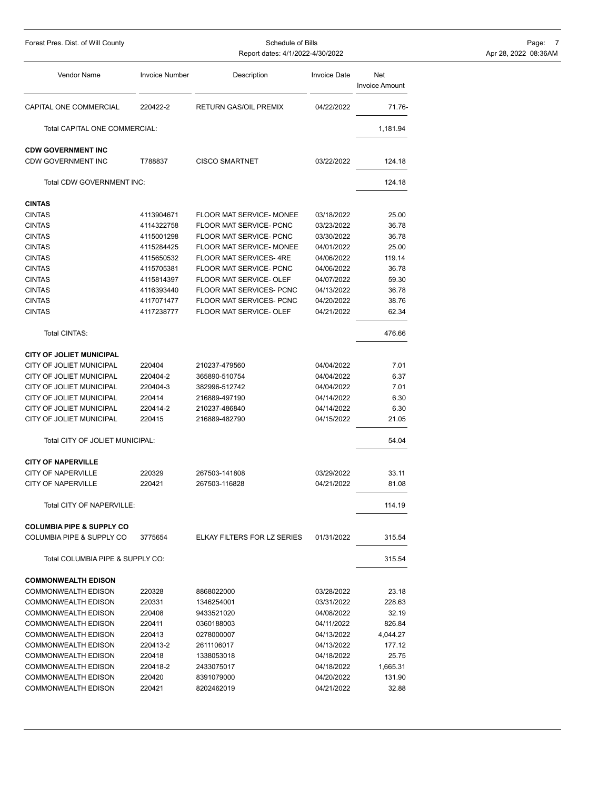| Forest Pres. Dist. of Will County    |                       | Schedule of Bills<br>Report dates: 4/1/2022-4/30/2022 |                     | Page: 7<br>Apr 28, 2022 08:36AM |  |  |
|--------------------------------------|-----------------------|-------------------------------------------------------|---------------------|---------------------------------|--|--|
| Vendor Name                          | <b>Invoice Number</b> | Description                                           | <b>Invoice Date</b> | Net<br><b>Invoice Amount</b>    |  |  |
| CAPITAL ONE COMMERCIAL               | 220422-2              | <b>RETURN GAS/OIL PREMIX</b>                          | 04/22/2022          | 71.76-                          |  |  |
| Total CAPITAL ONE COMMERCIAL:        |                       |                                                       |                     | 1,181.94                        |  |  |
| <b>CDW GOVERNMENT INC</b>            |                       |                                                       |                     |                                 |  |  |
| <b>CDW GOVERNMENT INC</b>            | T788837               | <b>CISCO SMARTNET</b>                                 | 03/22/2022          | 124.18                          |  |  |
| Total CDW GOVERNMENT INC:            |                       |                                                       |                     | 124.18                          |  |  |
| <b>CINTAS</b>                        |                       |                                                       |                     |                                 |  |  |
| <b>CINTAS</b>                        | 4113904671            | FLOOR MAT SERVICE- MONEE                              | 03/18/2022          | 25.00                           |  |  |
|                                      |                       | FLOOR MAT SERVICE- PCNC                               |                     | 36.78                           |  |  |
| <b>CINTAS</b>                        | 4114322758            |                                                       | 03/23/2022          |                                 |  |  |
| <b>CINTAS</b>                        | 4115001298            | FLOOR MAT SERVICE- PCNC                               | 03/30/2022          | 36.78                           |  |  |
| <b>CINTAS</b>                        | 4115284425            | FLOOR MAT SERVICE- MONEE                              | 04/01/2022          | 25.00                           |  |  |
| <b>CINTAS</b>                        | 4115650532            | FLOOR MAT SERVICES-4RE                                | 04/06/2022          | 119.14                          |  |  |
| <b>CINTAS</b>                        | 4115705381            | FLOOR MAT SERVICE- PCNC                               | 04/06/2022          | 36.78                           |  |  |
| <b>CINTAS</b>                        | 4115814397            | FLOOR MAT SERVICE- OLEF                               | 04/07/2022          | 59.30                           |  |  |
| <b>CINTAS</b>                        | 4116393440            | FLOOR MAT SERVICES- PCNC                              | 04/13/2022          | 36.78                           |  |  |
| <b>CINTAS</b>                        | 4117071477            | FLOOR MAT SERVICES- PCNC                              | 04/20/2022          | 38.76                           |  |  |
| <b>CINTAS</b>                        | 4117238777            | FLOOR MAT SERVICE- OLEF                               | 04/21/2022          | 62.34                           |  |  |
| Total CINTAS:                        |                       |                                                       |                     | 476.66                          |  |  |
| <b>CITY OF JOLIET MUNICIPAL</b>      |                       |                                                       |                     |                                 |  |  |
| CITY OF JOLIET MUNICIPAL             | 220404                | 210237-479560                                         | 04/04/2022          | 7.01                            |  |  |
| CITY OF JOLIET MUNICIPAL             | 220404-2              | 365890-510754                                         | 04/04/2022          | 6.37                            |  |  |
| CITY OF JOLIET MUNICIPAL             | 220404-3              | 382996-512742                                         | 04/04/2022          | 7.01                            |  |  |
| CITY OF JOLIET MUNICIPAL             | 220414                | 216889-497190                                         | 04/14/2022          | 6.30                            |  |  |
| CITY OF JOLIET MUNICIPAL             | 220414-2              | 210237-486840                                         | 04/14/2022          | 6.30                            |  |  |
| CITY OF JOLIET MUNICIPAL             | 220415                | 216889-482790                                         | 04/15/2022          | 21.05                           |  |  |
| Total CITY OF JOLIET MUNICIPAL:      |                       |                                                       |                     | 54.04                           |  |  |
| <b>CITY OF NAPERVILLE</b>            |                       |                                                       |                     |                                 |  |  |
| <b>CITY OF NAPERVILLE</b>            | 220329                | 267503-141808                                         | 03/29/2022          | 33.11                           |  |  |
| <b>CITY OF NAPERVILLE</b>            | 220421                | 267503-116828                                         | 04/21/2022          | 81.08                           |  |  |
|                                      |                       |                                                       |                     |                                 |  |  |
| Total CITY OF NAPERVILLE:            |                       |                                                       |                     | 114.19                          |  |  |
| <b>COLUMBIA PIPE &amp; SUPPLY CO</b> |                       |                                                       |                     |                                 |  |  |
| COLUMBIA PIPE & SUPPLY CO            | 3775654               | ELKAY FILTERS FOR LZ SERIES                           | 01/31/2022          | 315.54                          |  |  |
| Total COLUMBIA PIPE & SUPPLY CO:     |                       |                                                       |                     | 315.54                          |  |  |
| <b>COMMONWEALTH EDISON</b>           |                       |                                                       |                     |                                 |  |  |
| <b>COMMONWEALTH EDISON</b>           | 220328                | 8868022000                                            | 03/28/2022          | 23.18                           |  |  |
| <b>COMMONWEALTH EDISON</b>           | 220331                | 1346254001                                            | 03/31/2022          | 228.63                          |  |  |
| <b>COMMONWEALTH EDISON</b>           | 220408                | 9433521020                                            | 04/08/2022          | 32.19                           |  |  |
| <b>COMMONWEALTH EDISON</b>           | 220411                | 0360188003                                            | 04/11/2022          | 826.84                          |  |  |
| COMMONWEALTH EDISON                  | 220413                | 0278000007                                            | 04/13/2022          | 4,044.27                        |  |  |
| <b>COMMONWEALTH EDISON</b>           | 220413-2              | 2611106017                                            | 04/13/2022          | 177.12                          |  |  |
| <b>COMMONWEALTH EDISON</b>           | 220418                | 1338053018                                            | 04/18/2022          | 25.75                           |  |  |
| <b>COMMONWEALTH EDISON</b>           | 220418-2              | 2433075017                                            | 04/18/2022          | 1,665.31                        |  |  |
| <b>COMMONWEALTH EDISON</b>           | 220420                | 8391079000                                            | 04/20/2022          | 131.90                          |  |  |
| <b>COMMONWEALTH EDISON</b>           | 220421                | 8202462019                                            | 04/21/2022          | 32.88                           |  |  |
|                                      |                       |                                                       |                     |                                 |  |  |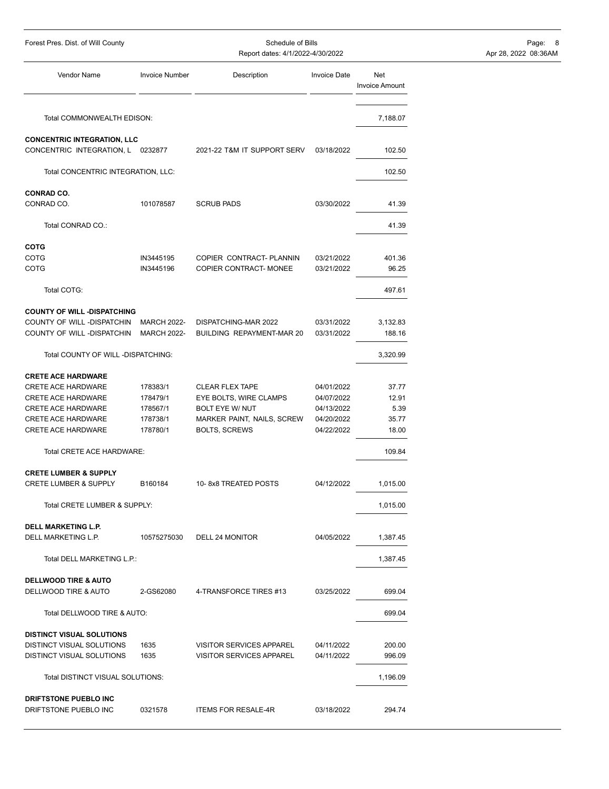| Forest Pres. Dist. of Will County                      |                       | Schedule of Bills<br>Report dates: 4/1/2022-4/30/2022 | Page:<br>-8<br>Apr 28, 2022 08:36AM |                              |  |
|--------------------------------------------------------|-----------------------|-------------------------------------------------------|-------------------------------------|------------------------------|--|
| Vendor Name                                            | <b>Invoice Number</b> | Description                                           | <b>Invoice Date</b>                 | Net<br><b>Invoice Amount</b> |  |
| Total COMMONWEALTH EDISON:                             |                       |                                                       |                                     | 7,188.07                     |  |
| <b>CONCENTRIC INTEGRATION, LLC</b>                     |                       |                                                       |                                     |                              |  |
| CONCENTRIC INTEGRATION, L 0232877                      |                       | 2021-22 T&M IT SUPPORT SERV                           | 03/18/2022                          | 102.50                       |  |
| Total CONCENTRIC INTEGRATION, LLC:                     |                       |                                                       |                                     | 102.50                       |  |
| <b>CONRAD CO.</b>                                      |                       |                                                       |                                     |                              |  |
| CONRAD CO.                                             | 101078587             | <b>SCRUB PADS</b>                                     | 03/30/2022                          | 41.39                        |  |
| Total CONRAD CO.:                                      |                       |                                                       |                                     | 41.39                        |  |
| <b>COTG</b>                                            |                       |                                                       |                                     |                              |  |
| COTG                                                   | IN3445195             | COPIER CONTRACT- PLANNIN                              | 03/21/2022                          | 401.36                       |  |
| COTG                                                   | IN3445196             | COPIER CONTRACT- MONEE                                | 03/21/2022                          | 96.25                        |  |
| Total COTG:                                            |                       |                                                       |                                     | 497.61                       |  |
| <b>COUNTY OF WILL -DISPATCHING</b>                     |                       |                                                       |                                     |                              |  |
| COUNTY OF WILL -DISPATCHIN                             | <b>MARCH 2022-</b>    | DISPATCHING-MAR 2022                                  | 03/31/2022                          | 3,132.83                     |  |
| COUNTY OF WILL -DISPATCHIN                             | <b>MARCH 2022-</b>    | <b>BUILDING REPAYMENT-MAR 20</b>                      | 03/31/2022                          | 188.16                       |  |
| Total COUNTY OF WILL -DISPATCHING:                     |                       |                                                       |                                     | 3,320.99                     |  |
| <b>CRETE ACE HARDWARE</b>                              |                       |                                                       |                                     |                              |  |
| <b>CRETE ACE HARDWARE</b>                              | 178383/1              | <b>CLEAR FLEX TAPE</b>                                | 04/01/2022                          | 37.77                        |  |
| <b>CRETE ACE HARDWARE</b><br><b>CRETE ACE HARDWARE</b> | 178479/1<br>178567/1  | EYE BOLTS, WIRE CLAMPS<br><b>BOLT EYE W/ NUT</b>      | 04/07/2022<br>04/13/2022            | 12.91<br>5.39                |  |
| <b>CRETE ACE HARDWARE</b>                              | 178738/1              | MARKER PAINT, NAILS, SCREW                            | 04/20/2022                          | 35.77                        |  |
| <b>CRETE ACE HARDWARE</b>                              | 178780/1              | <b>BOLTS, SCREWS</b>                                  | 04/22/2022                          | 18.00                        |  |
| Total CRETE ACE HARDWARE:                              |                       |                                                       |                                     | 109.84                       |  |
| <b>CRETE LUMBER &amp; SUPPLY</b>                       |                       |                                                       |                                     |                              |  |
| <b>CRETE LUMBER &amp; SUPPLY</b>                       | B160184               | 10-8x8 TREATED POSTS                                  | 04/12/2022                          | 1,015.00                     |  |
| Total CRETE LUMBER & SUPPLY:                           |                       |                                                       |                                     | 1,015.00                     |  |
| <b>DELL MARKETING L.P.</b>                             |                       |                                                       |                                     |                              |  |
| DELL MARKETING L.P.                                    | 10575275030           | DELL 24 MONITOR                                       | 04/05/2022                          | 1,387.45                     |  |
| Total DELL MARKETING L.P.:                             |                       |                                                       |                                     | 1,387.45                     |  |
| <b>DELLWOOD TIRE &amp; AUTO</b>                        |                       |                                                       |                                     |                              |  |
| DELLWOOD TIRE & AUTO                                   | 2-GS62080             | 4-TRANSFORCE TIRES #13                                | 03/25/2022                          | 699.04                       |  |
| Total DELLWOOD TIRE & AUTO:                            |                       |                                                       |                                     | 699.04                       |  |
| DISTINCT VISUAL SOLUTIONS                              |                       |                                                       |                                     |                              |  |
| DISTINCT VISUAL SOLUTIONS                              | 1635                  | <b>VISITOR SERVICES APPAREL</b>                       | 04/11/2022                          | 200.00                       |  |
| DISTINCT VISUAL SOLUTIONS                              | 1635                  | <b>VISITOR SERVICES APPAREL</b>                       | 04/11/2022                          | 996.09                       |  |
| Total DISTINCT VISUAL SOLUTIONS:                       |                       |                                                       |                                     | 1,196.09                     |  |
| DRIFTSTONE PUEBLO INC                                  |                       |                                                       |                                     |                              |  |
| DRIFTSTONE PUEBLO INC                                  | 0321578               | <b>ITEMS FOR RESALE-4R</b>                            | 03/18/2022                          | 294.74                       |  |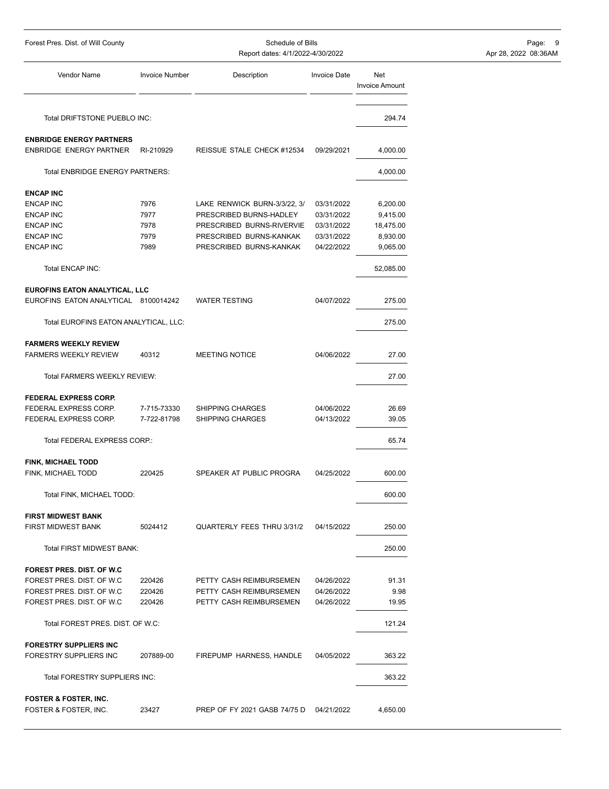| Forest Pres. Dist. of Will County                                      |                       | Schedule of Bills<br>Report dates: 4/1/2022-4/30/2022 |                     |                              | Page: 9<br>Apr 28, 2022 08:36AM |  |  |
|------------------------------------------------------------------------|-----------------------|-------------------------------------------------------|---------------------|------------------------------|---------------------------------|--|--|
| Vendor Name                                                            | <b>Invoice Number</b> | Description                                           | <b>Invoice Date</b> | Net<br><b>Invoice Amount</b> |                                 |  |  |
| Total DRIFTSTONE PUEBLO INC:                                           |                       |                                                       |                     | 294.74                       |                                 |  |  |
| <b>ENBRIDGE ENERGY PARTNERS</b>                                        |                       |                                                       |                     |                              |                                 |  |  |
| ENBRIDGE ENERGY PARTNER                                                | RI-210929             | REISSUE STALE CHECK #12534                            | 09/29/2021          | 4,000.00                     |                                 |  |  |
| <b>Total ENBRIDGE ENERGY PARTNERS:</b>                                 |                       |                                                       |                     | 4,000.00                     |                                 |  |  |
| <b>ENCAP INC</b>                                                       |                       |                                                       |                     |                              |                                 |  |  |
| <b>ENCAP INC</b>                                                       | 7976                  | LAKE RENWICK BURN-3/3/22, 3/                          | 03/31/2022          | 6,200.00                     |                                 |  |  |
| <b>ENCAP INC</b>                                                       | 7977                  | PRESCRIBED BURNS-HADLEY                               | 03/31/2022          | 9,415.00                     |                                 |  |  |
| <b>ENCAP INC</b>                                                       | 7978                  | PRESCRIBED BURNS-RIVERVIE                             | 03/31/2022          | 18,475.00                    |                                 |  |  |
| <b>ENCAP INC</b>                                                       | 7979                  | PRESCRIBED BURNS-KANKAK                               | 03/31/2022          | 8,930.00                     |                                 |  |  |
| <b>ENCAP INC</b>                                                       | 7989                  | PRESCRIBED BURNS-KANKAK                               | 04/22/2022          | 9,065.00                     |                                 |  |  |
| Total ENCAP INC:                                                       |                       |                                                       |                     | 52,085.00                    |                                 |  |  |
|                                                                        |                       |                                                       |                     |                              |                                 |  |  |
| EUROFINS EATON ANALYTICAL, LLC<br>EUROFINS EATON ANALYTICAL 8100014242 |                       | <b>WATER TESTING</b>                                  | 04/07/2022          | 275.00                       |                                 |  |  |
| Total EUROFINS EATON ANALYTICAL, LLC:                                  |                       |                                                       |                     | 275.00                       |                                 |  |  |
|                                                                        |                       |                                                       |                     |                              |                                 |  |  |
| <b>FARMERS WEEKLY REVIEW</b><br><b>FARMERS WEEKLY REVIEW</b>           | 40312                 | <b>MEETING NOTICE</b>                                 | 04/06/2022          | 27.00                        |                                 |  |  |
| Total FARMERS WEEKLY REVIEW:                                           |                       |                                                       |                     | 27.00                        |                                 |  |  |
|                                                                        |                       |                                                       |                     |                              |                                 |  |  |
| FEDERAL EXPRESS CORP.                                                  |                       |                                                       |                     |                              |                                 |  |  |
| FEDERAL EXPRESS CORP.                                                  | 7-715-73330           | <b>SHIPPING CHARGES</b>                               | 04/06/2022          | 26.69                        |                                 |  |  |
| FEDERAL EXPRESS CORP.                                                  | 7-722-81798           | <b>SHIPPING CHARGES</b>                               | 04/13/2022          | 39.05                        |                                 |  |  |
| Total FEDERAL EXPRESS CORP.:                                           |                       |                                                       |                     | 65.74                        |                                 |  |  |
| <b>FINK, MICHAEL TODD</b>                                              |                       |                                                       |                     |                              |                                 |  |  |
| FINK, MICHAEL TODD                                                     | 220425                | SPEAKER AT PUBLIC PROGRA                              | 04/25/2022          | 600.00                       |                                 |  |  |
| Total FINK, MICHAEL TODD:                                              |                       |                                                       |                     | 600.00                       |                                 |  |  |
| <b>FIRST MIDWEST BANK</b>                                              |                       |                                                       |                     |                              |                                 |  |  |
| <b>FIRST MIDWEST BANK</b>                                              | 5024412               | QUARTERLY FEES THRU 3/31/2                            | 04/15/2022          | 250.00                       |                                 |  |  |
| Total FIRST MIDWEST BANK:                                              |                       |                                                       |                     | 250.00                       |                                 |  |  |
| FOREST PRES. DIST. OF W.C.                                             |                       |                                                       |                     |                              |                                 |  |  |
| FOREST PRES. DIST. OF W.C.                                             | 220426                | PETTY CASH REIMBURSEMEN                               | 04/26/2022          | 91.31                        |                                 |  |  |
| FOREST PRES. DIST. OF W.C.                                             | 220426                | PETTY CASH REIMBURSEMEN                               | 04/26/2022          | 9.98                         |                                 |  |  |
| FOREST PRES. DIST. OF W.C.                                             | 220426                | PETTY CASH REIMBURSEMEN                               | 04/26/2022          | 19.95                        |                                 |  |  |
|                                                                        |                       |                                                       |                     |                              |                                 |  |  |
| Total FOREST PRES. DIST. OF W.C:                                       |                       |                                                       |                     | 121.24                       |                                 |  |  |
| <b>FORESTRY SUPPLIERS INC</b>                                          |                       |                                                       |                     |                              |                                 |  |  |
| FORESTRY SUPPLIERS INC                                                 | 207889-00             | FIREPUMP HARNESS, HANDLE                              | 04/05/2022          | 363.22                       |                                 |  |  |
| Total FORESTRY SUPPLIERS INC:                                          |                       |                                                       |                     | 363.22                       |                                 |  |  |
| <b>FOSTER &amp; FOSTER, INC.</b>                                       |                       |                                                       |                     |                              |                                 |  |  |
| FOSTER & FOSTER, INC.                                                  | 23427                 | PREP OF FY 2021 GASB 74/75 D                          | 04/21/2022          | 4,650.00                     |                                 |  |  |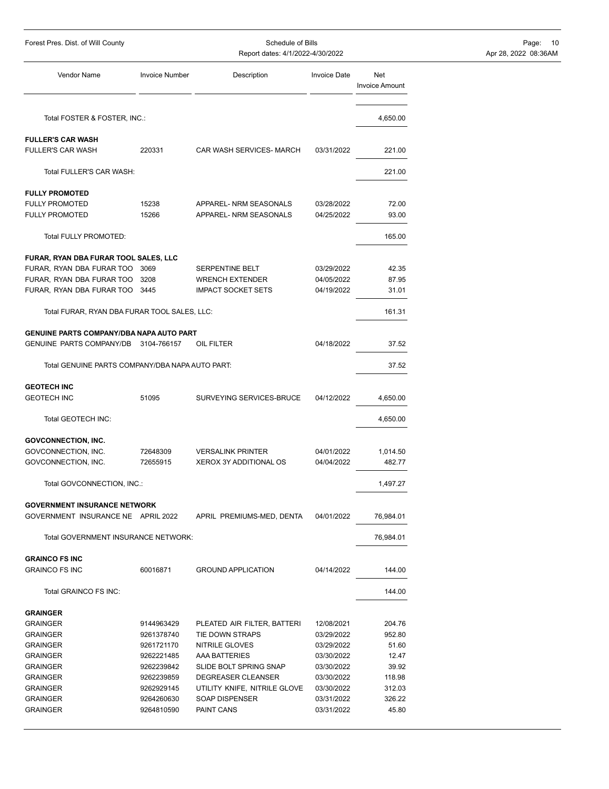| Forest Pres. Dist. of Will County               |                       | Schedule of Bills<br>Report dates: 4/1/2022-4/30/2022 |                     | Page: 10<br>Apr 28, 2022 08:36AM |  |
|-------------------------------------------------|-----------------------|-------------------------------------------------------|---------------------|----------------------------------|--|
| Vendor Name                                     | <b>Invoice Number</b> | Description                                           | <b>Invoice Date</b> | Net<br><b>Invoice Amount</b>     |  |
| Total FOSTER & FOSTER, INC.:                    |                       |                                                       |                     | 4,650.00                         |  |
| <b>FULLER'S CAR WASH</b>                        |                       |                                                       |                     |                                  |  |
| <b>FULLER'S CAR WASH</b>                        | 220331                | CAR WASH SERVICES- MARCH                              | 03/31/2022          | 221.00                           |  |
| Total FULLER'S CAR WASH:                        |                       |                                                       |                     | 221.00                           |  |
| <b>FULLY PROMOTED</b>                           |                       |                                                       |                     |                                  |  |
| <b>FULLY PROMOTED</b>                           | 15238                 | APPAREL- NRM SEASONALS                                | 03/28/2022          | 72.00                            |  |
| <b>FULLY PROMOTED</b>                           | 15266                 | APPAREL- NRM SEASONALS                                | 04/25/2022          | 93.00                            |  |
| Total FULLY PROMOTED:                           |                       |                                                       |                     | 165.00                           |  |
| FURAR, RYAN DBA FURAR TOOL SALES, LLC           |                       |                                                       |                     |                                  |  |
| FURAR, RYAN DBA FURAR TOO 3069                  |                       | SERPENTINE BELT                                       | 03/29/2022          | 42.35                            |  |
| FURAR, RYAN DBA FURAR TOO 3208                  |                       | <b>WRENCH EXTENDER</b>                                | 04/05/2022          | 87.95                            |  |
| FURAR, RYAN DBA FURAR TOO 3445                  |                       | <b>IMPACT SOCKET SETS</b>                             | 04/19/2022          | 31.01                            |  |
| Total FURAR, RYAN DBA FURAR TOOL SALES, LLC:    |                       |                                                       |                     | 161.31                           |  |
| <b>GENUINE PARTS COMPANY/DBA NAPA AUTO PART</b> |                       |                                                       |                     |                                  |  |
| GENUINE PARTS COMPANY/DB 3104-766157            |                       | OIL FILTER                                            | 04/18/2022          | 37.52                            |  |
| Total GENUINE PARTS COMPANY/DBA NAPA AUTO PART: |                       |                                                       |                     | 37.52                            |  |
| <b>GEOTECH INC</b>                              |                       |                                                       |                     |                                  |  |
| <b>GEOTECH INC</b>                              | 51095                 | SURVEYING SERVICES-BRUCE                              | 04/12/2022          | 4,650.00                         |  |
| Total GEOTECH INC:                              |                       |                                                       |                     | 4,650.00                         |  |
| <b>GOVCONNECTION, INC.</b>                      |                       |                                                       |                     |                                  |  |
| GOVCONNECTION, INC.                             | 72648309              | <b>VERSALINK PRINTER</b>                              | 04/01/2022          | 1,014.50                         |  |
| GOVCONNECTION, INC.                             | 72655915              | XEROX 3Y ADDITIONAL OS                                | 04/04/2022          | 482.77                           |  |
| Total GOVCONNECTION, INC.:                      |                       |                                                       |                     | 1,497.27                         |  |
| <b>GOVERNMENT INSURANCE NETWORK</b>             |                       |                                                       |                     |                                  |  |
| GOVERNMENT INSURANCE NE APRIL 2022              |                       | APRIL PREMIUMS-MED, DENTA                             | 04/01/2022          | 76,984.01                        |  |
| Total GOVERNMENT INSURANCE NETWORK:             |                       |                                                       |                     | 76,984.01                        |  |
| <b>GRAINCO FS INC</b>                           |                       |                                                       |                     |                                  |  |
| <b>GRAINCO FS INC</b>                           | 60016871              | <b>GROUND APPLICATION</b>                             | 04/14/2022          | 144.00                           |  |
| Total GRAINCO FS INC:                           |                       |                                                       |                     | 144.00                           |  |
| <b>GRAINGER</b>                                 |                       |                                                       |                     |                                  |  |
| <b>GRAINGER</b>                                 | 9144963429            | PLEATED AIR FILTER, BATTERI                           | 12/08/2021          | 204.76                           |  |
| <b>GRAINGER</b>                                 | 9261378740            | TIE DOWN STRAPS                                       | 03/29/2022          | 952.80                           |  |
| <b>GRAINGER</b>                                 | 9261721170            | NITRILE GLOVES                                        | 03/29/2022          | 51.60                            |  |
| <b>GRAINGER</b>                                 | 9262221485            | AAA BATTERIES                                         | 03/30/2022          | 12.47                            |  |
| <b>GRAINGER</b>                                 | 9262239842            | SLIDE BOLT SPRING SNAP                                | 03/30/2022          | 39.92                            |  |
| <b>GRAINGER</b>                                 | 9262239859            | DEGREASER CLEANSER                                    | 03/30/2022          | 118.98                           |  |
| <b>GRAINGER</b>                                 | 9262929145            | UTILITY KNIFE, NITRILE GLOVE                          | 03/30/2022          | 312.03                           |  |
| <b>GRAINGER</b>                                 | 9264260630            | SOAP DISPENSER                                        | 03/31/2022          | 326.22                           |  |
| <b>GRAINGER</b>                                 | 9264810590            | PAINT CANS                                            | 03/31/2022          | 45.80                            |  |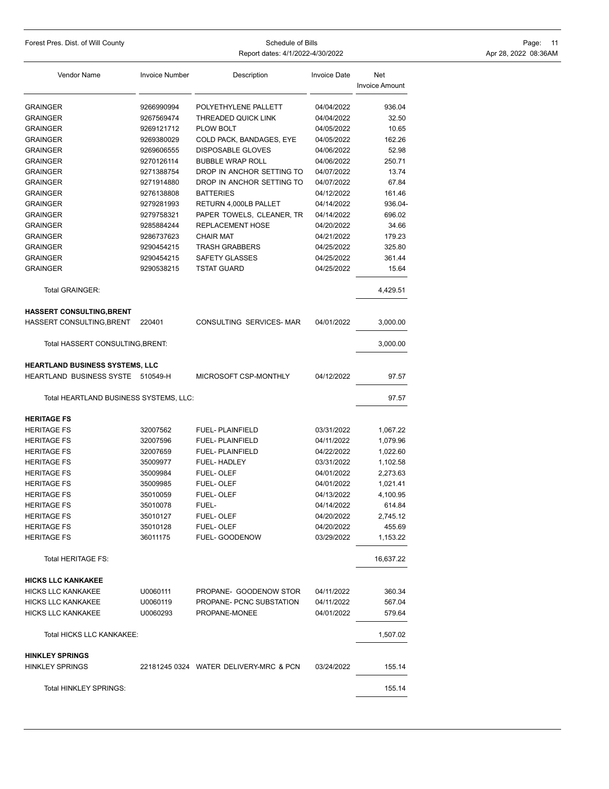| Forest Pres. Dist. of Will County | Schedule of Bills | Page: 11 |  |
|-----------------------------------|-------------------|----------|--|
|                                   |                   |          |  |

Report dates: 4/1/2022-4/30/2022 <br>
Apr 28, 2022 08:36AM

| <b>Vendor Name</b>                     | <b>Invoice Number</b>    | Description                                 | <b>Invoice Date</b>      | Net<br><b>Invoice Amount</b> |
|----------------------------------------|--------------------------|---------------------------------------------|--------------------------|------------------------------|
|                                        |                          |                                             |                          |                              |
| <b>GRAINGER</b><br><b>GRAINGER</b>     | 9266990994<br>9267569474 | POLYETHYLENE PALLETT<br>THREADED QUICK LINK | 04/04/2022<br>04/04/2022 | 936.04<br>32.50              |
| <b>GRAINGER</b>                        | 9269121712               | <b>PLOW BOLT</b>                            | 04/05/2022               | 10.65                        |
| <b>GRAINGER</b>                        | 9269380029               | COLD PACK, BANDAGES, EYE                    | 04/05/2022               | 162.26                       |
| <b>GRAINGER</b>                        | 9269606555               | DISPOSABLE GLOVES                           | 04/06/2022               | 52.98                        |
| <b>GRAINGER</b>                        | 9270126114               | <b>BUBBLE WRAP ROLL</b>                     | 04/06/2022               | 250.71                       |
| <b>GRAINGER</b>                        | 9271388754               | DROP IN ANCHOR SETTING TO                   | 04/07/2022               | 13.74                        |
| <b>GRAINGER</b>                        | 9271914880               | DROP IN ANCHOR SETTING TO                   | 04/07/2022               | 67.84                        |
| <b>GRAINGER</b>                        | 9276138808               | <b>BATTERIES</b>                            | 04/12/2022               | 161.46                       |
| <b>GRAINGER</b>                        | 9279281993               | RETURN 4,000LB PALLET                       | 04/14/2022               | 936.04-                      |
| <b>GRAINGER</b>                        | 9279758321               | PAPER TOWELS, CLEANER, TR                   | 04/14/2022               | 696.02                       |
| <b>GRAINGER</b>                        | 9285884244               | REPLACEMENT HOSE                            | 04/20/2022               | 34.66                        |
| <b>GRAINGER</b>                        | 9286737623               | <b>CHAIR MAT</b>                            | 04/21/2022               | 179.23                       |
| <b>GRAINGER</b>                        | 9290454215               | <b>TRASH GRABBERS</b>                       | 04/25/2022               | 325.80                       |
| <b>GRAINGER</b>                        | 9290454215               | SAFETY GLASSES                              | 04/25/2022               | 361.44                       |
| <b>GRAINGER</b>                        | 9290538215               | <b>TSTAT GUARD</b>                          | 04/25/2022               | 15.64                        |
|                                        |                          |                                             |                          |                              |
| <b>Total GRAINGER:</b>                 |                          |                                             |                          | 4,429.51                     |
| <b>HASSERT CONSULTING, BRENT</b>       |                          |                                             |                          |                              |
| HASSERT CONSULTING, BRENT              | 220401                   | CONSULTING SERVICES- MAR                    | 04/01/2022               | 3,000.00                     |
| Total HASSERT CONSULTING, BRENT:       |                          |                                             |                          | 3,000.00                     |
| HEARTLAND BUSINESS SYSTEMS, LLC        |                          |                                             |                          |                              |
| HEARTLAND BUSINESS SYSTE               | 510549-H                 | MICROSOFT CSP-MONTHLY                       | 04/12/2022               | 97.57                        |
| Total HEARTLAND BUSINESS SYSTEMS, LLC: |                          |                                             |                          | 97.57                        |
| <b>HERITAGE FS</b>                     |                          |                                             |                          |                              |
| <b>HERITAGE FS</b>                     | 32007562                 | <b>FUEL-PLAINFIELD</b>                      | 03/31/2022               | 1,067.22                     |
| <b>HERITAGE FS</b>                     | 32007596                 | <b>FUEL- PLAINFIELD</b>                     | 04/11/2022               | 1,079.96                     |
| <b>HERITAGE FS</b>                     | 32007659                 | <b>FUEL-PLAINFIELD</b>                      | 04/22/2022               | 1,022.60                     |
| <b>HERITAGE FS</b>                     | 35009977                 | <b>FUEL-HADLEY</b>                          | 03/31/2022               | 1,102.58                     |
| <b>HERITAGE FS</b>                     | 35009984                 | <b>FUEL-OLEF</b>                            | 04/01/2022               | 2,273.63                     |
| <b>HERITAGE FS</b>                     | 35009985                 | <b>FUEL-OLEF</b>                            | 04/01/2022               | 1,021.41                     |
| <b>HERITAGE FS</b>                     | 35010059                 | <b>FUEL-OLEF</b>                            | 04/13/2022               | 4,100.95                     |
| <b>HERITAGE FS</b>                     | 35010078                 | FUEL-                                       | 04/14/2022               | 614.84                       |
| <b>HERITAGE FS</b>                     | 35010127                 | <b>FUEL-OLEF</b>                            | 04/20/2022               | 2,745.12                     |
| <b>HERITAGE FS</b>                     | 35010128                 | FUEL-OLEF                                   | 04/20/2022               | 455.69                       |
| <b>HERITAGE FS</b>                     | 36011175                 | <b>FUEL- GOODENOW</b>                       | 03/29/2022               | 1,153.22                     |
| Total HERITAGE FS:                     |                          |                                             |                          | 16,637.22                    |
| <b>HICKS LLC KANKAKEE</b>              |                          |                                             |                          |                              |
| <b>HICKS LLC KANKAKEE</b>              | U0060111                 | PROPANE- GOODENOW STOR                      | 04/11/2022               | 360.34                       |
| <b>HICKS LLC KANKAKEE</b>              | U0060119                 | PROPANE- PCNC SUBSTATION                    | 04/11/2022               | 567.04                       |
| <b>HICKS LLC KANKAKEE</b>              | U0060293                 | PROPANE-MONEE                               | 04/01/2022               | 579.64                       |
| Total HICKS LLC KANKAKEE:              |                          |                                             |                          | 1,507.02                     |
| <b>HINKLEY SPRINGS</b>                 |                          |                                             |                          |                              |
| <b>HINKLEY SPRINGS</b>                 |                          | 22181245 0324 WATER DELIVERY-MRC & PCN      | 03/24/2022               | 155.14                       |
| Total HINKLEY SPRINGS:                 |                          |                                             |                          | 155.14                       |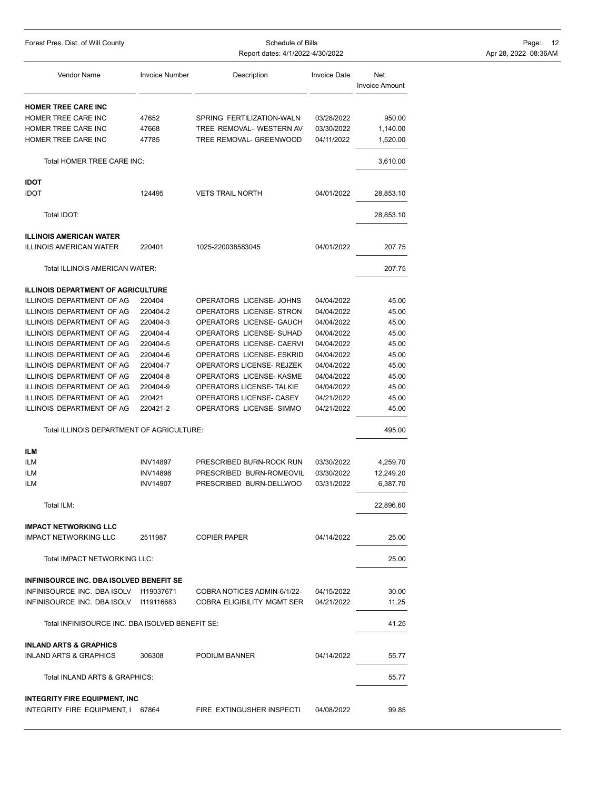| Forest Pres. Dist. of Will County               | Schedule of Bills     |                                  |                     |                              | Page:<br>- 12        |  |  |
|-------------------------------------------------|-----------------------|----------------------------------|---------------------|------------------------------|----------------------|--|--|
|                                                 |                       | Report dates: 4/1/2022-4/30/2022 |                     |                              | Apr 28, 2022 08:36AM |  |  |
| Vendor Name                                     | <b>Invoice Number</b> | Description                      | <b>Invoice Date</b> | Net<br><b>Invoice Amount</b> |                      |  |  |
| <b>HOMER TREE CARE INC</b>                      |                       |                                  |                     |                              |                      |  |  |
| HOMER TREE CARE INC                             | 47652                 | SPRING FERTILIZATION-WALN        | 03/28/2022          | 950.00                       |                      |  |  |
| HOMER TREE CARE INC                             | 47668                 | TREE REMOVAL- WESTERN AV         | 03/30/2022          | 1,140.00                     |                      |  |  |
| HOMER TREE CARE INC                             | 47785                 | TREE REMOVAL- GREENWOOD          | 04/11/2022          | 1,520.00                     |                      |  |  |
| Total HOMER TREE CARE INC:                      |                       |                                  |                     | 3,610.00                     |                      |  |  |
| <b>IDOT</b>                                     |                       |                                  |                     |                              |                      |  |  |
| <b>IDOT</b>                                     | 124495                | <b>VETS TRAIL NORTH</b>          | 04/01/2022          | 28,853.10                    |                      |  |  |
| Total IDOT:                                     |                       |                                  |                     | 28,853.10                    |                      |  |  |
| <b>ILLINOIS AMERICAN WATER</b>                  |                       |                                  |                     |                              |                      |  |  |
| <b>ILLINOIS AMERICAN WATER</b>                  | 220401                | 1025-220038583045                | 04/01/2022          | 207.75                       |                      |  |  |
| Total ILLINOIS AMERICAN WATER:                  |                       |                                  |                     | 207.75                       |                      |  |  |
| <b>ILLINOIS DEPARTMENT OF AGRICULTURE</b>       |                       |                                  |                     |                              |                      |  |  |
| <b>ILLINOIS DEPARTMENT OF AG</b>                | 220404                | OPERATORS LICENSE- JOHNS         | 04/04/2022          | 45.00                        |                      |  |  |
| ILLINOIS DEPARTMENT OF AG                       | 220404-2              | <b>OPERATORS LICENSE- STRON</b>  | 04/04/2022          | 45.00                        |                      |  |  |
| ILLINOIS DEPARTMENT OF AG                       | 220404-3              | OPERATORS LICENSE- GAUCH         | 04/04/2022          | 45.00                        |                      |  |  |
| ILLINOIS DEPARTMENT OF AG                       | 220404-4              | OPERATORS LICENSE- SUHAD         | 04/04/2022          | 45.00                        |                      |  |  |
| ILLINOIS DEPARTMENT OF AG                       | 220404-5              | OPERATORS LICENSE- CAERVI        | 04/04/2022          | 45.00                        |                      |  |  |
| ILLINOIS DEPARTMENT OF AG                       | 220404-6              | OPERATORS LICENSE- ESKRID        | 04/04/2022          | 45.00                        |                      |  |  |
| ILLINOIS DEPARTMENT OF AG                       | 220404-7              | OPERATORS LICENSE- REJZEK        | 04/04/2022          | 45.00                        |                      |  |  |
| ILLINOIS DEPARTMENT OF AG                       | 220404-8              | OPERATORS LICENSE- KASME         | 04/04/2022          | 45.00                        |                      |  |  |
| ILLINOIS DEPARTMENT OF AG                       | 220404-9              | OPERATORS LICENSE- TALKIE        | 04/04/2022          | 45.00                        |                      |  |  |
| ILLINOIS DEPARTMENT OF AG                       | 220421                | OPERATORS LICENSE- CASEY         | 04/21/2022          | 45.00                        |                      |  |  |
| ILLINOIS DEPARTMENT OF AG                       | 220421-2              | OPERATORS LICENSE-SIMMO          | 04/21/2022          | 45.00                        |                      |  |  |
| Total ILLINOIS DEPARTMENT OF AGRICULTURE:       |                       |                                  |                     | 495.00                       |                      |  |  |
| <b>ILM</b>                                      |                       |                                  |                     |                              |                      |  |  |
| ILM                                             | <b>INV14897</b>       | PRESCRIBED BURN-ROCK RUN         | 03/30/2022          | 4,259.70                     |                      |  |  |
| ILM                                             | <b>INV14898</b>       | PRESCRIBED BURN-ROMEOVIL         | 03/30/2022          | 12,249.20                    |                      |  |  |
| ILM                                             | <b>INV14907</b>       | PRESCRIBED BURN-DELLWOO          | 03/31/2022          | 6,387.70                     |                      |  |  |
| Total ILM:                                      |                       |                                  |                     | 22,896.60                    |                      |  |  |
| <b>IMPACT NETWORKING LLC</b>                    |                       |                                  |                     |                              |                      |  |  |
| <b>IMPACT NETWORKING LLC</b>                    | 2511987               | <b>COPIER PAPER</b>              | 04/14/2022          | 25.00                        |                      |  |  |
| Total IMPACT NETWORKING LLC:                    |                       |                                  |                     | 25.00                        |                      |  |  |
| <b>INFINISOURCE INC. DBA ISOLVED BENEFIT SE</b> |                       |                                  |                     |                              |                      |  |  |
| INFINISOURCE INC. DBA ISOLV 119037671           |                       | COBRA NOTICES ADMIN-6/1/22-      | 04/15/2022          | 30.00                        |                      |  |  |
| INFINISOURCE INC. DBA ISOLV 119116683           |                       | COBRA ELIGIBILITY MGMT SER       | 04/21/2022          | 11.25                        |                      |  |  |
| Total INFINISOURCE INC. DBA ISOLVED BENEFIT SE: |                       |                                  |                     | 41.25                        |                      |  |  |
| <b>INLAND ARTS &amp; GRAPHICS</b>               |                       |                                  |                     |                              |                      |  |  |
| INLAND ARTS & GRAPHICS                          | 306308                | PODIUM BANNER                    | 04/14/2022          | 55.77                        |                      |  |  |
| Total INLAND ARTS & GRAPHICS:                   |                       |                                  |                     | 55.77                        |                      |  |  |
| <b>INTEGRITY FIRE EQUIPMENT, INC</b>            |                       |                                  |                     |                              |                      |  |  |
| INTEGRITY FIRE EQUIPMENT, I 67864               |                       | FIRE EXTINGUSHER INSPECTI        | 04/08/2022          | 99.85                        |                      |  |  |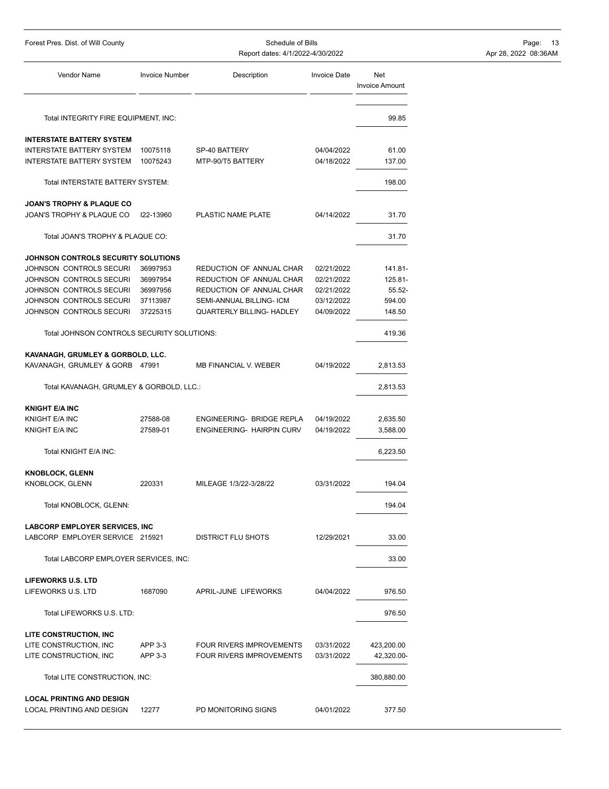| Forest Pres. Dist. of Will County                                   | Schedule of Bills<br>Report dates: 4/1/2022-4/30/2022 |                                  |                     |                       | Page: 13<br>Apr 28, 2022 08:36AM |
|---------------------------------------------------------------------|-------------------------------------------------------|----------------------------------|---------------------|-----------------------|----------------------------------|
| Vendor Name                                                         | <b>Invoice Number</b>                                 | Description                      | <b>Invoice Date</b> | Net<br>Invoice Amount |                                  |
| Total INTEGRITY FIRE EQUIPMENT, INC:                                |                                                       |                                  |                     | 99.85                 |                                  |
| <b>INTERSTATE BATTERY SYSTEM</b>                                    |                                                       |                                  |                     |                       |                                  |
| INTERSTATE BATTERY SYSTEM                                           | 10075118                                              | SP-40 BATTERY                    | 04/04/2022          | 61.00                 |                                  |
| INTERSTATE BATTERY SYSTEM                                           | 10075243                                              | MTP-90/T5 BATTERY                | 04/18/2022          | 137.00                |                                  |
| Total INTERSTATE BATTERY SYSTEM:                                    |                                                       |                                  |                     | 198.00                |                                  |
| <b>JOAN'S TROPHY &amp; PLAQUE CO</b>                                |                                                       |                                  |                     |                       |                                  |
| JOAN'S TROPHY & PLAQUE CO                                           | 122-13960                                             | PLASTIC NAME PLATE               | 04/14/2022          | 31.70                 |                                  |
| Total JOAN'S TROPHY & PLAQUE CO:                                    |                                                       |                                  |                     | 31.70                 |                                  |
| JOHNSON CONTROLS SECURITY SOLUTIONS                                 |                                                       |                                  |                     |                       |                                  |
| JOHNSON CONTROLS SECURI                                             | 36997953                                              | REDUCTION OF ANNUAL CHAR         | 02/21/2022          | 141.81-               |                                  |
| JOHNSON CONTROLS SECURI                                             | 36997954                                              | REDUCTION OF ANNUAL CHAR         | 02/21/2022          | 125.81-               |                                  |
| JOHNSON CONTROLS SECURI                                             | 36997956                                              | REDUCTION OF ANNUAL CHAR         | 02/21/2022          | 55.52-                |                                  |
| JOHNSON CONTROLS SECURI                                             | 37113987                                              | SEMI-ANNUAL BILLING- ICM         | 03/12/2022          | 594.00                |                                  |
| JOHNSON CONTROLS SECURI                                             | 37225315                                              | <b>QUARTERLY BILLING- HADLEY</b> | 04/09/2022          | 148.50                |                                  |
| Total JOHNSON CONTROLS SECURITY SOLUTIONS:                          |                                                       |                                  |                     | 419.36                |                                  |
| KAVANAGH, GRUMLEY & GORBOLD, LLC.<br>KAVANAGH, GRUMLEY & GORB 47991 |                                                       | MB FINANCIAL V. WEBER            | 04/19/2022          | 2,813.53              |                                  |
| Total KAVANAGH, GRUMLEY & GORBOLD, LLC.:                            |                                                       |                                  |                     | 2,813.53              |                                  |
| <b>KNIGHT E/A INC</b>                                               |                                                       |                                  |                     |                       |                                  |
| KNIGHT E/A INC                                                      | 27588-08                                              | ENGINEERING- BRIDGE REPLA        | 04/19/2022          | 2,635.50              |                                  |
| KNIGHT E/A INC                                                      | 27589-01                                              | ENGINEERING- HAIRPIN CURV        | 04/19/2022          | 3,588.00              |                                  |
| Total KNIGHT E/A INC:                                               |                                                       |                                  |                     | 6,223.50              |                                  |
| <b>KNOBLOCK, GLENN</b>                                              |                                                       |                                  |                     |                       |                                  |
| KNOBLOCK, GLENN                                                     | 220331                                                | MILEAGE 1/3/22-3/28/22           | 03/31/2022          | 194.04                |                                  |
| Total KNOBLOCK, GLENN:                                              |                                                       |                                  |                     | 194.04                |                                  |
| <b>LABCORP EMPLOYER SERVICES, INC</b>                               |                                                       |                                  |                     |                       |                                  |
| LABCORP EMPLOYER SERVICE 215921                                     |                                                       | DISTRICT FLU SHOTS               | 12/29/2021          | 33.00                 |                                  |
| Total LABCORP EMPLOYER SERVICES, INC:                               |                                                       |                                  |                     | 33.00                 |                                  |
| <b>LIFEWORKS U.S. LTD</b>                                           |                                                       |                                  |                     |                       |                                  |
| LIFEWORKS U.S. LTD                                                  | 1687090                                               | APRIL-JUNE LIFEWORKS             | 04/04/2022          | 976.50                |                                  |
| Total LIFEWORKS U.S. LTD:                                           |                                                       |                                  |                     | 976.50                |                                  |
| LITE CONSTRUCTION, INC                                              |                                                       |                                  |                     |                       |                                  |
| LITE CONSTRUCTION, INC                                              | APP 3-3                                               | FOUR RIVERS IMPROVEMENTS         | 03/31/2022          | 423,200.00            |                                  |
| LITE CONSTRUCTION, INC                                              | APP 3-3                                               | <b>FOUR RIVERS IMPROVEMENTS</b>  | 03/31/2022          | 42,320.00-            |                                  |
| Total LITE CONSTRUCTION, INC:                                       |                                                       |                                  |                     | 380,880.00            |                                  |
| <b>LOCAL PRINTING AND DESIGN</b><br>LOCAL PRINTING AND DESIGN       | 12277                                                 | PD MONITORING SIGNS              | 04/01/2022          | 377.50                |                                  |
|                                                                     |                                                       |                                  |                     |                       |                                  |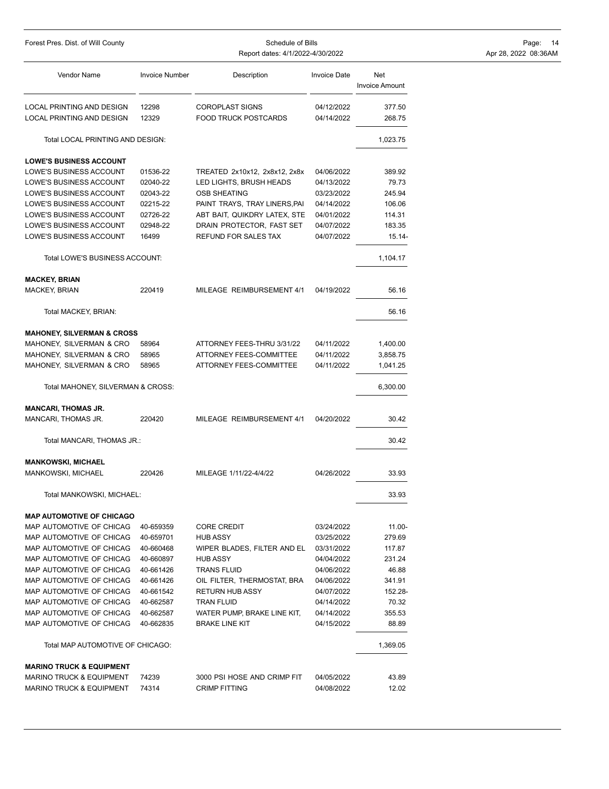| Forest Pres. Dist. of Will County     |                       | Schedule of Bills<br>Report dates: 4/1/2022-4/30/2022 | Page:<br>-14<br>Apr 28, 2022 08:36AM |                              |  |
|---------------------------------------|-----------------------|-------------------------------------------------------|--------------------------------------|------------------------------|--|
| Vendor Name                           | <b>Invoice Number</b> | Description                                           | <b>Invoice Date</b>                  | Net<br><b>Invoice Amount</b> |  |
| <b>LOCAL PRINTING AND DESIGN</b>      | 12298                 | <b>COROPLAST SIGNS</b>                                | 04/12/2022                           | 377.50                       |  |
| LOCAL PRINTING AND DESIGN             | 12329                 | <b>FOOD TRUCK POSTCARDS</b>                           | 04/14/2022                           | 268.75                       |  |
| Total LOCAL PRINTING AND DESIGN:      |                       |                                                       |                                      | 1,023.75                     |  |
| <b>LOWE'S BUSINESS ACCOUNT</b>        |                       |                                                       |                                      |                              |  |
| LOWE'S BUSINESS ACCOUNT               | 01536-22              | TREATED 2x10x12, 2x8x12, 2x8x                         | 04/06/2022                           | 389.92                       |  |
| LOWE'S BUSINESS ACCOUNT               | 02040-22              | LED LIGHTS, BRUSH HEADS                               | 04/13/2022                           | 79.73                        |  |
| LOWE'S BUSINESS ACCOUNT               | 02043-22              | <b>OSB SHEATING</b>                                   | 03/23/2022                           | 245.94                       |  |
| LOWE'S BUSINESS ACCOUNT               | 02215-22              | PAINT TRAYS, TRAY LINERS, PAI                         | 04/14/2022                           | 106.06                       |  |
| LOWE'S BUSINESS ACCOUNT               | 02726-22              | ABT BAIT, QUIKDRY LATEX, STE                          | 04/01/2022                           | 114.31                       |  |
| LOWE'S BUSINESS ACCOUNT               | 02948-22              | DRAIN PROTECTOR, FAST SET                             | 04/07/2022                           | 183.35                       |  |
| LOWE'S BUSINESS ACCOUNT               | 16499                 | REFUND FOR SALES TAX                                  | 04/07/2022                           | $15.14 -$                    |  |
| Total LOWE'S BUSINESS ACCOUNT:        |                       |                                                       |                                      | 1,104.17                     |  |
| <b>MACKEY, BRIAN</b>                  |                       |                                                       |                                      |                              |  |
| <b>MACKEY, BRIAN</b>                  | 220419                | MILEAGE REIMBURSEMENT 4/1                             | 04/19/2022                           | 56.16                        |  |
| Total MACKEY, BRIAN:                  |                       |                                                       |                                      | 56.16                        |  |
| <b>MAHONEY, SILVERMAN &amp; CROSS</b> |                       |                                                       |                                      |                              |  |
| MAHONEY, SILVERMAN & CRO              | 58964                 | ATTORNEY FEES-THRU 3/31/22                            | 04/11/2022                           | 1,400.00                     |  |
| MAHONEY, SILVERMAN & CRO              | 58965                 | ATTORNEY FEES-COMMITTEE                               | 04/11/2022                           | 3,858.75                     |  |
| MAHONEY, SILVERMAN & CRO              | 58965                 | ATTORNEY FEES-COMMITTEE                               | 04/11/2022                           | 1,041.25                     |  |
| Total MAHONEY, SILVERMAN & CROSS:     |                       |                                                       |                                      | 6,300.00                     |  |
| <b>MANCARI, THOMAS JR.</b>            |                       |                                                       |                                      |                              |  |
| MANCARI, THOMAS JR.                   | 220420                | MILEAGE REIMBURSEMENT 4/1                             | 04/20/2022                           | 30.42                        |  |
| Total MANCARI, THOMAS JR.:            |                       |                                                       |                                      | 30.42                        |  |
| <b>MANKOWSKI, MICHAEL</b>             |                       |                                                       |                                      |                              |  |
| MANKOWSKI, MICHAEL                    | 220426                | MILEAGE 1/11/22-4/4/22                                | 04/26/2022                           | 33.93                        |  |
| Total MANKOWSKI, MICHAEL:             |                       |                                                       |                                      | 33.93                        |  |
| <b>MAP AUTOMOTIVE OF CHICAGO</b>      |                       |                                                       |                                      |                              |  |
| MAP AUTOMOTIVE OF CHICAG              | 40-659359             | <b>CORE CREDIT</b>                                    | 03/24/2022                           | 11.00-                       |  |
| MAP AUTOMOTIVE OF CHICAG              | 40-659701             | <b>HUB ASSY</b>                                       | 03/25/2022                           | 279.69                       |  |
| MAP AUTOMOTIVE OF CHICAG              | 40-660468             | WIPER BLADES, FILTER AND EL                           | 03/31/2022                           | 117.87                       |  |
| MAP AUTOMOTIVE OF CHICAG              | 40-660897             | <b>HUB ASSY</b>                                       | 04/04/2022                           | 231.24                       |  |
| MAP AUTOMOTIVE OF CHICAG              | 40-661426             | <b>TRANS FLUID</b>                                    | 04/06/2022                           | 46.88                        |  |
| MAP AUTOMOTIVE OF CHICAG              | 40-661426             | OIL FILTER, THERMOSTAT, BRA                           | 04/06/2022                           | 341.91                       |  |
| MAP AUTOMOTIVE OF CHICAG              | 40-661542             | <b>RETURN HUB ASSY</b>                                | 04/07/2022                           | 152.28-                      |  |
| MAP AUTOMOTIVE OF CHICAG              | 40-662587             | <b>TRAN FLUID</b>                                     | 04/14/2022                           | 70.32                        |  |
| MAP AUTOMOTIVE OF CHICAG              | 40-662587             | WATER PUMP, BRAKE LINE KIT,                           | 04/14/2022                           | 355.53                       |  |
| MAP AUTOMOTIVE OF CHICAG              | 40-662835             | <b>BRAKE LINE KIT</b>                                 | 04/15/2022                           | 88.89                        |  |
| Total MAP AUTOMOTIVE OF CHICAGO:      |                       |                                                       |                                      | 1,369.05                     |  |
| <b>MARINO TRUCK &amp; EQUIPMENT</b>   |                       |                                                       |                                      |                              |  |
| <b>MARINO TRUCK &amp; EQUIPMENT</b>   | 74239                 | 3000 PSI HOSE AND CRIMP FIT                           | 04/05/2022                           | 43.89                        |  |
| <b>MARINO TRUCK &amp; EQUIPMENT</b>   | 74314                 | <b>CRIMP FITTING</b>                                  | 04/08/2022                           | 12.02                        |  |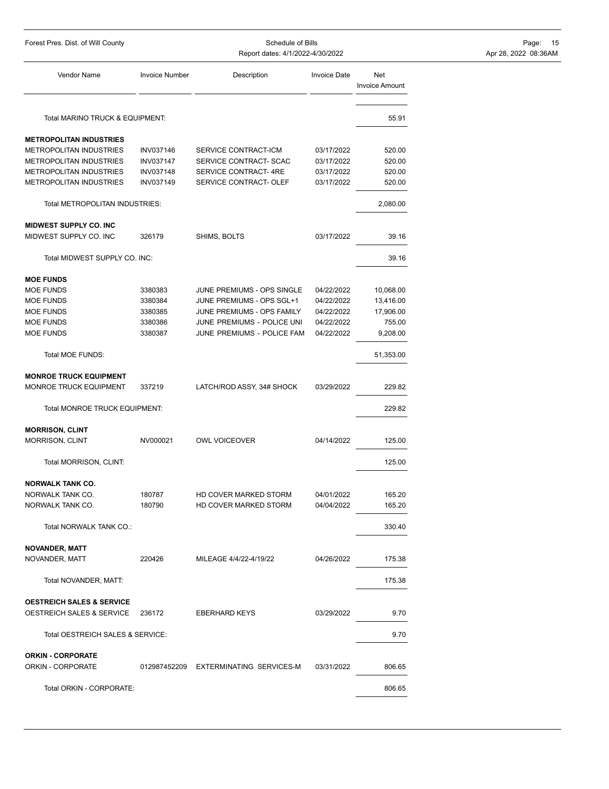| Forest Pres. Dist. of Will County                                                      | Schedule of Bills<br>Report dates: 4/1/2022-4/30/2022 |                     |                              | Page:<br>- 15<br>Apr 28, 2022 08:36AM |
|----------------------------------------------------------------------------------------|-------------------------------------------------------|---------------------|------------------------------|---------------------------------------|
| Vendor Name<br><b>Invoice Number</b>                                                   | Description                                           | <b>Invoice Date</b> | Net<br><b>Invoice Amount</b> |                                       |
| Total MARINO TRUCK & EQUIPMENT:                                                        |                                                       |                     | 55.91                        |                                       |
| <b>METROPOLITAN INDUSTRIES</b>                                                         |                                                       |                     |                              |                                       |
| <b>METROPOLITAN INDUSTRIES</b><br>INV037146                                            | SERVICE CONTRACT-ICM                                  | 03/17/2022          | 520.00                       |                                       |
| <b>METROPOLITAN INDUSTRIES</b><br><b>INV037147</b>                                     | SERVICE CONTRACT- SCAC                                | 03/17/2022          | 520.00                       |                                       |
| <b>METROPOLITAN INDUSTRIES</b><br>INV037148                                            | SERVICE CONTRACT-4RE                                  | 03/17/2022          | 520.00                       |                                       |
| <b>METROPOLITAN INDUSTRIES</b><br>INV037149                                            | SERVICE CONTRACT- OLEF                                | 03/17/2022          | 520.00                       |                                       |
| Total METROPOLITAN INDUSTRIES:                                                         |                                                       |                     | 2,080.00                     |                                       |
| <b>MIDWEST SUPPLY CO. INC</b>                                                          |                                                       |                     |                              |                                       |
| MIDWEST SUPPLY CO. INC<br>326179                                                       | SHIMS, BOLTS                                          | 03/17/2022          | 39.16                        |                                       |
| Total MIDWEST SUPPLY CO. INC:                                                          |                                                       |                     | 39.16                        |                                       |
| <b>MOE FUNDS</b>                                                                       |                                                       |                     |                              |                                       |
| 3380383<br><b>MOE FUNDS</b>                                                            | JUNE PREMIUMS - OPS SINGLE                            | 04/22/2022          | 10,068.00                    |                                       |
| MOE FUNDS<br>3380384                                                                   | JUNE PREMIUMS - OPS SGL+1                             | 04/22/2022          | 13,416.00                    |                                       |
| <b>MOE FUNDS</b><br>3380385                                                            | JUNE PREMIUMS - OPS FAMILY                            | 04/22/2022          | 17,906.00                    |                                       |
| <b>MOE FUNDS</b><br>3380386                                                            | JUNE PREMIUMS - POLICE UNI                            | 04/22/2022          | 755.00                       |                                       |
| <b>MOE FUNDS</b><br>3380387                                                            | JUNE PREMIUMS - POLICE FAM                            | 04/22/2022          | 9,208.00                     |                                       |
| Total MOE FUNDS:                                                                       |                                                       |                     | 51,353.00                    |                                       |
| <b>MONROE TRUCK EQUIPMENT</b>                                                          |                                                       |                     |                              |                                       |
| MONROE TRUCK EQUIPMENT<br>337219                                                       | LATCH/ROD ASSY, 34# SHOCK                             | 03/29/2022          | 229.82                       |                                       |
| Total MONROE TRUCK EQUIPMENT:                                                          |                                                       |                     | 229.82                       |                                       |
| <b>MORRISON, CLINT</b>                                                                 |                                                       |                     |                              |                                       |
| <b>MORRISON, CLINT</b><br>NV000021                                                     | <b>OWL VOICEOVER</b>                                  | 04/14/2022          | 125.00                       |                                       |
| Total MORRISON, CLINT:                                                                 |                                                       |                     | 125.00                       |                                       |
| <b>NORWALK TANK CO.</b>                                                                |                                                       |                     |                              |                                       |
| NORWALK TANK CO.<br>180787                                                             | HD COVER MARKED STORM                                 | 04/01/2022          | 165.20                       |                                       |
| NORWALK TANK CO.<br>180790                                                             | HD COVER MARKED STORM                                 | 04/04/2022          | 165.20                       |                                       |
| Total NORWALK TANK CO.:                                                                |                                                       |                     | 330.40                       |                                       |
| <b>NOVANDER, MATT</b>                                                                  |                                                       |                     |                              |                                       |
| NOVANDER, MATT<br>220426                                                               | MILEAGE 4/4/22-4/19/22                                | 04/26/2022          | 175.38                       |                                       |
| Total NOVANDER, MATT:                                                                  |                                                       |                     | 175.38                       |                                       |
|                                                                                        |                                                       |                     |                              |                                       |
| <b>OESTREICH SALES &amp; SERVICE</b><br><b>OESTREICH SALES &amp; SERVICE</b><br>236172 | <b>EBERHARD KEYS</b>                                  | 03/29/2022          | 9.70                         |                                       |
| Total OESTREICH SALES & SERVICE:                                                       |                                                       |                     | 9.70                         |                                       |
|                                                                                        |                                                       |                     |                              |                                       |
| <b>ORKIN - CORPORATE</b><br>ORKIN - CORPORATE<br>012987452209                          | <b>EXTERMINATING SERVICES-M</b>                       | 03/31/2022          | 806.65                       |                                       |
| Total ORKIN - CORPORATE:                                                               |                                                       |                     |                              |                                       |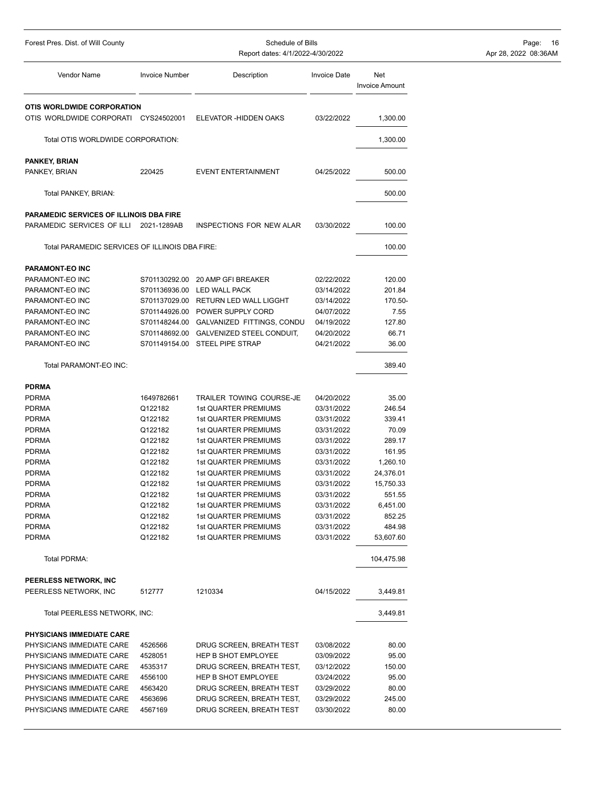| Forest Pres. Dist. of Will County<br>Schedule of Bills<br>Report dates: 4/1/2022-4/30/2022 |                       |                                                     |                          |                              | Page:<br>- 16<br>Apr 28, 2022 08:36AM |
|--------------------------------------------------------------------------------------------|-----------------------|-----------------------------------------------------|--------------------------|------------------------------|---------------------------------------|
| <b>Vendor Name</b>                                                                         | <b>Invoice Number</b> | Description                                         | <b>Invoice Date</b>      | Net<br><b>Invoice Amount</b> |                                       |
| OTIS WORLDWIDE CORPORATION                                                                 |                       |                                                     |                          |                              |                                       |
| OTIS WORLDWIDE CORPORATI CYS24502001                                                       |                       | ELEVATOR -HIDDEN OAKS                               | 03/22/2022               | 1,300.00                     |                                       |
| Total OTIS WORLDWIDE CORPORATION:                                                          |                       |                                                     |                          | 1,300.00                     |                                       |
| <b>PANKEY, BRIAN</b>                                                                       |                       |                                                     |                          |                              |                                       |
| PANKEY, BRIAN                                                                              | 220425                | EVENT ENTERTAINMENT                                 | 04/25/2022               | 500.00                       |                                       |
| Total PANKEY, BRIAN:                                                                       |                       |                                                     |                          | 500.00                       |                                       |
| <b>PARAMEDIC SERVICES OF ILLINOIS DBA FIRE</b>                                             |                       |                                                     |                          |                              |                                       |
| PARAMEDIC SERVICES OF ILLI 2021-1289AB                                                     |                       | INSPECTIONS FOR NEW ALAR                            | 03/30/2022               | 100.00                       |                                       |
| Total PARAMEDIC SERVICES OF ILLINOIS DBA FIRE:                                             |                       |                                                     |                          | 100.00                       |                                       |
|                                                                                            |                       |                                                     |                          |                              |                                       |
| <b>PARAMONT-EO INC</b><br>PARAMONT-EO INC                                                  |                       | S701130292.00 20 AMP GFI BREAKER                    | 02/22/2022               |                              |                                       |
| PARAMONT-EO INC                                                                            |                       | S701136936.00 LED WALL PACK                         | 03/14/2022               | 120.00<br>201.84             |                                       |
| PARAMONT-EO INC                                                                            |                       | S701137029.00 RETURN LED WALL LIGGHT                | 03/14/2022               | 170.50-                      |                                       |
| PARAMONT-EO INC                                                                            |                       | S701144926.00 POWER SUPPLY CORD                     | 04/07/2022               | 7.55                         |                                       |
| PARAMONT-EO INC                                                                            |                       | S701148244.00 GALVANIZED FITTINGS, CONDU            | 04/19/2022               | 127.80                       |                                       |
| PARAMONT-EO INC                                                                            |                       | S701148692.00 GALVENIZED STEEL CONDUIT,             | 04/20/2022               | 66.71                        |                                       |
| PARAMONT-EO INC                                                                            |                       | S701149154.00 STEEL PIPE STRAP                      | 04/21/2022               | 36.00                        |                                       |
| Total PARAMONT-EO INC:                                                                     |                       |                                                     |                          | 389.40                       |                                       |
| <b>PDRMA</b>                                                                               |                       |                                                     |                          |                              |                                       |
| <b>PDRMA</b>                                                                               | 1649782661            | TRAILER TOWING COURSE-JE                            | 04/20/2022               | 35.00                        |                                       |
| <b>PDRMA</b>                                                                               | Q122182               | <b>1st QUARTER PREMIUMS</b>                         | 03/31/2022               | 246.54                       |                                       |
| <b>PDRMA</b>                                                                               | Q122182               | 1st QUARTER PREMIUMS                                | 03/31/2022               | 339.41                       |                                       |
| <b>PDRMA</b>                                                                               | Q122182               | 1st QUARTER PREMIUMS                                | 03/31/2022               | 70.09                        |                                       |
| <b>PDRMA</b>                                                                               | Q122182               | 1st QUARTER PREMIUMS                                | 03/31/2022               | 289.17                       |                                       |
| <b>PDRMA</b>                                                                               | Q122182               | <b>1st QUARTER PREMIUMS</b>                         | 03/31/2022               | 161.95                       |                                       |
| <b>PDRMA</b>                                                                               | Q122182               | <b>1st QUARTER PREMIUMS</b>                         | 03/31/2022               | 1,260.10                     |                                       |
| <b>PDRMA</b>                                                                               | Q122182               | 1st QUARTER PREMIUMS                                | 03/31/2022               | 24,376.01                    |                                       |
| <b>PDRMA</b>                                                                               | Q122182               | <b>1st QUARTER PREMIUMS</b>                         | 03/31/2022               | 15,750.33                    |                                       |
| <b>PDRMA</b>                                                                               | Q122182               | <b>1st QUARTER PREMIUMS</b>                         | 03/31/2022               | 551.55                       |                                       |
| <b>PDRMA</b>                                                                               | Q122182               | <b>1st QUARTER PREMIUMS</b>                         | 03/31/2022               | 6,451.00                     |                                       |
| <b>PDRMA</b>                                                                               | Q122182               | 1st QUARTER PREMIUMS                                | 03/31/2022               | 852.25                       |                                       |
| <b>PDRMA</b><br><b>PDRMA</b>                                                               | Q122182<br>Q122182    | 1st QUARTER PREMIUMS<br><b>1st QUARTER PREMIUMS</b> | 03/31/2022<br>03/31/2022 | 484.98<br>53,607.60          |                                       |
| Total PDRMA:                                                                               |                       |                                                     |                          | 104,475.98                   |                                       |
| PEERLESS NETWORK, INC                                                                      |                       |                                                     |                          |                              |                                       |
| PEERLESS NETWORK, INC                                                                      | 512777                | 1210334                                             | 04/15/2022               | 3,449.81                     |                                       |
| Total PEERLESS NETWORK, INC:                                                               |                       |                                                     |                          | 3,449.81                     |                                       |
| PHYSICIANS IMMEDIATE CARE                                                                  |                       |                                                     |                          |                              |                                       |
| PHYSICIANS IMMEDIATE CARE                                                                  | 4526566               | DRUG SCREEN, BREATH TEST                            | 03/08/2022               | 80.00                        |                                       |
| PHYSICIANS IMMEDIATE CARE                                                                  | 4528051               | HEP B SHOT EMPLOYEE                                 | 03/09/2022               | 95.00                        |                                       |
| PHYSICIANS IMMEDIATE CARE                                                                  | 4535317               | DRUG SCREEN, BREATH TEST,                           | 03/12/2022               | 150.00                       |                                       |
| PHYSICIANS IMMEDIATE CARE                                                                  | 4556100               | HEP B SHOT EMPLOYEE                                 | 03/24/2022               | 95.00                        |                                       |
| PHYSICIANS IMMEDIATE CARE                                                                  | 4563420               | DRUG SCREEN, BREATH TEST                            | 03/29/2022               | 80.00                        |                                       |
| PHYSICIANS IMMEDIATE CARE                                                                  | 4563696               | DRUG SCREEN, BREATH TEST,                           | 03/29/2022               | 245.00                       |                                       |
| PHYSICIANS IMMEDIATE CARE                                                                  | 4567169               | DRUG SCREEN, BREATH TEST                            | 03/30/2022               | 80.00                        |                                       |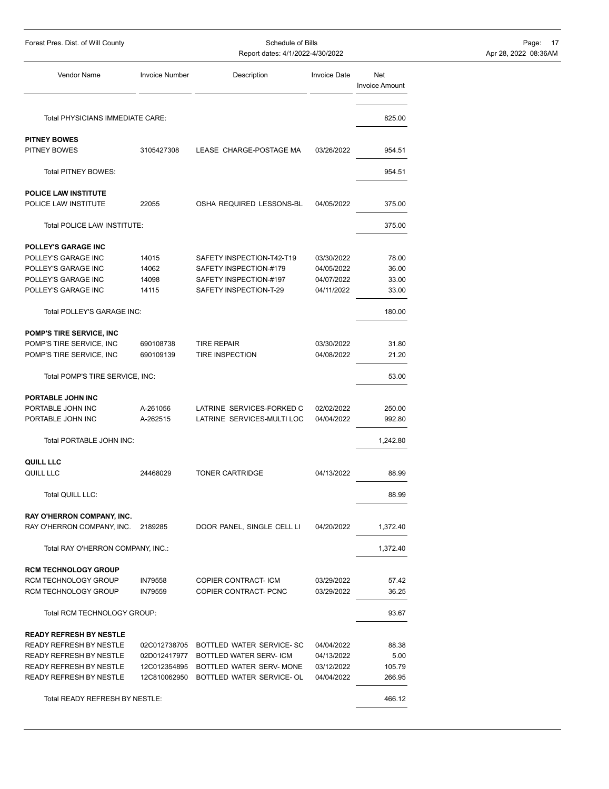| Forest Pres. Dist. of Will County                        | Schedule of Bills<br>Report dates: 4/1/2022-4/30/2022 |                                                  |                     |                              | Page: 17<br>Apr 28, 2022 08:36AM |
|----------------------------------------------------------|-------------------------------------------------------|--------------------------------------------------|---------------------|------------------------------|----------------------------------|
| Vendor Name                                              | <b>Invoice Number</b>                                 | Description                                      | <b>Invoice Date</b> | Net<br><b>Invoice Amount</b> |                                  |
| Total PHYSICIANS IMMEDIATE CARE:                         |                                                       |                                                  |                     | 825.00                       |                                  |
| <b>PITNEY BOWES</b>                                      |                                                       |                                                  |                     |                              |                                  |
| PITNEY BOWES                                             | 3105427308                                            | LEASE CHARGE-POSTAGE MA                          | 03/26/2022          | 954.51                       |                                  |
| Total PITNEY BOWES:                                      |                                                       |                                                  |                     | 954.51                       |                                  |
| POLICE LAW INSTITUTE                                     |                                                       |                                                  |                     |                              |                                  |
| POLICE LAW INSTITUTE                                     | 22055                                                 | OSHA REQUIRED LESSONS-BL                         | 04/05/2022          | 375.00                       |                                  |
| Total POLICE LAW INSTITUTE:                              |                                                       |                                                  |                     | 375.00                       |                                  |
| POLLEY'S GARAGE INC                                      |                                                       |                                                  |                     |                              |                                  |
| POLLEY'S GARAGE INC                                      | 14015<br>14062                                        | SAFETY INSPECTION-T42-T19                        | 03/30/2022          | 78.00                        |                                  |
| POLLEY'S GARAGE INC<br>POLLEY'S GARAGE INC               | 14098                                                 | SAFETY INSPECTION-#179<br>SAFETY INSPECTION-#197 | 04/05/2022          | 36.00                        |                                  |
|                                                          |                                                       |                                                  | 04/07/2022          | 33.00                        |                                  |
| POLLEY'S GARAGE INC                                      | 14115                                                 | SAFETY INSPECTION-T-29                           | 04/11/2022          | 33.00                        |                                  |
| Total POLLEY'S GARAGE INC:                               |                                                       |                                                  |                     | 180.00                       |                                  |
| POMP'S TIRE SERVICE, INC                                 |                                                       |                                                  |                     |                              |                                  |
| POMP'S TIRE SERVICE, INC                                 | 690108738                                             | <b>TIRE REPAIR</b>                               | 03/30/2022          | 31.80                        |                                  |
| POMP'S TIRE SERVICE, INC                                 | 690109139                                             | TIRE INSPECTION                                  | 04/08/2022          | 21.20                        |                                  |
| Total POMP'S TIRE SERVICE, INC:                          |                                                       |                                                  |                     | 53.00                        |                                  |
| PORTABLE JOHN INC                                        |                                                       |                                                  |                     |                              |                                  |
| PORTABLE JOHN INC                                        | A-261056                                              | LATRINE SERVICES-FORKED C                        | 02/02/2022          | 250.00                       |                                  |
| PORTABLE JOHN INC                                        | A-262515                                              | LATRINE SERVICES-MULTI LOC                       | 04/04/2022          | 992.80                       |                                  |
| Total PORTABLE JOHN INC:                                 |                                                       |                                                  |                     | 1,242.80                     |                                  |
|                                                          |                                                       |                                                  |                     |                              |                                  |
| QUILL LLC<br>QUILL LLC                                   | 24468029                                              | <b>TONER CARTRIDGE</b>                           | 04/13/2022          | 88.99                        |                                  |
| Total QUILL LLC:                                         |                                                       |                                                  |                     | 88.99                        |                                  |
|                                                          |                                                       |                                                  |                     |                              |                                  |
| RAY O'HERRON COMPANY, INC.<br>RAY O'HERRON COMPANY, INC. | 2189285                                               | DOOR PANEL, SINGLE CELL LI                       | 04/20/2022          | 1,372.40                     |                                  |
| Total RAY O'HERRON COMPANY, INC.:                        |                                                       |                                                  |                     | 1,372.40                     |                                  |
| <b>RCM TECHNOLOGY GROUP</b>                              |                                                       |                                                  |                     |                              |                                  |
| RCM TECHNOLOGY GROUP                                     | <b>IN79558</b>                                        | COPIER CONTRACT-ICM                              | 03/29/2022          | 57.42                        |                                  |
| RCM TECHNOLOGY GROUP                                     | <b>IN79559</b>                                        | COPIER CONTRACT- PCNC                            | 03/29/2022          | 36.25                        |                                  |
| Total RCM TECHNOLOGY GROUP:                              |                                                       |                                                  |                     | 93.67                        |                                  |
| <b>READY REFRESH BY NESTLE</b>                           |                                                       |                                                  |                     |                              |                                  |
| READY REFRESH BY NESTLE                                  | 02C012738705                                          | BOTTLED WATER SERVICE-SC                         | 04/04/2022          | 88.38                        |                                  |
| READY REFRESH BY NESTLE                                  |                                                       | 02D012417977 BOTTLED WATER SERV-ICM              | 04/13/2022          | 5.00                         |                                  |
| READY REFRESH BY NESTLE                                  |                                                       | 12C012354895 BOTTLED WATER SERV-MONE             | 03/12/2022          | 105.79                       |                                  |
| READY REFRESH BY NESTLE                                  | 12C810062950                                          | BOTTLED WATER SERVICE- OL                        | 04/04/2022          | 266.95                       |                                  |
| Total READY REFRESH BY NESTLE:                           |                                                       |                                                  |                     | 466.12                       |                                  |
|                                                          |                                                       |                                                  |                     |                              |                                  |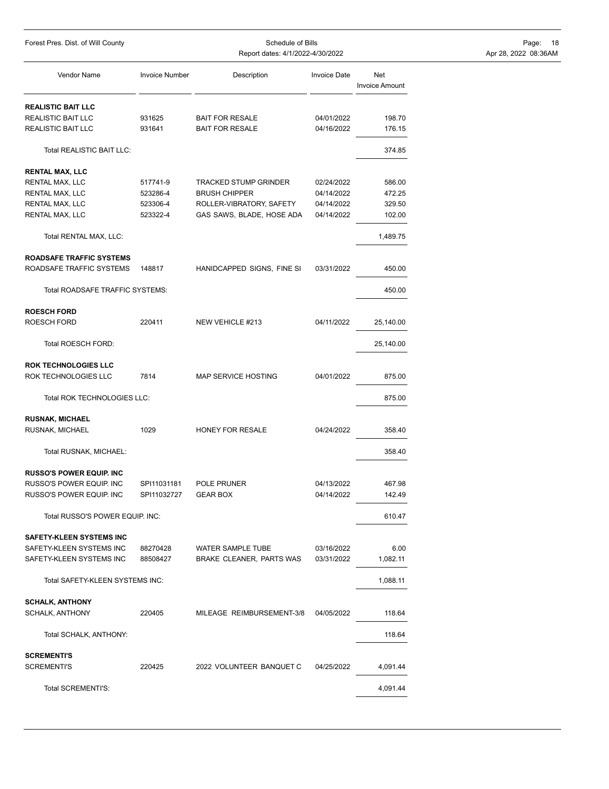| Forest Pres. Dist. of Will County<br>Schedule of Bills<br>Report dates: 4/1/2022-4/30/2022 |                       |                              |                     | Page:<br>-18<br>Apr 28, 2022 08:36AM |  |
|--------------------------------------------------------------------------------------------|-----------------------|------------------------------|---------------------|--------------------------------------|--|
|                                                                                            |                       |                              |                     |                                      |  |
| <b>Vendor Name</b>                                                                         | <b>Invoice Number</b> | Description                  | <b>Invoice Date</b> | Net<br><b>Invoice Amount</b>         |  |
| <b>REALISTIC BAIT LLC</b>                                                                  |                       |                              |                     |                                      |  |
| REALISTIC BAIT LLC                                                                         | 931625                | <b>BAIT FOR RESALE</b>       | 04/01/2022          | 198.70                               |  |
| REALISTIC BAIT LLC                                                                         | 931641                | <b>BAIT FOR RESALE</b>       | 04/16/2022          | 176.15                               |  |
| Total REALISTIC BAIT LLC:                                                                  |                       |                              |                     | 374.85                               |  |
| <b>RENTAL MAX, LLC</b>                                                                     |                       |                              |                     |                                      |  |
| RENTAL MAX, LLC                                                                            | 517741-9              | <b>TRACKED STUMP GRINDER</b> | 02/24/2022          | 586.00                               |  |
| RENTAL MAX, LLC                                                                            | 523286-4              | <b>BRUSH CHIPPER</b>         | 04/14/2022          | 472.25                               |  |
| RENTAL MAX, LLC                                                                            | 523306-4              | ROLLER-VIBRATORY, SAFETY     | 04/14/2022          | 329.50                               |  |
| RENTAL MAX, LLC                                                                            | 523322-4              | GAS SAWS, BLADE, HOSE ADA    | 04/14/2022          | 102.00                               |  |
| Total RENTAL MAX, LLC:                                                                     |                       |                              |                     | 1,489.75                             |  |
| <b>ROADSAFE TRAFFIC SYSTEMS</b>                                                            |                       |                              |                     |                                      |  |
| ROADSAFE TRAFFIC SYSTEMS                                                                   | 148817                | HANIDCAPPED SIGNS, FINE SI   | 03/31/2022          | 450.00                               |  |
| Total ROADSAFE TRAFFIC SYSTEMS:                                                            |                       |                              |                     | 450.00                               |  |
| <b>ROESCH FORD</b>                                                                         |                       |                              |                     |                                      |  |
| ROESCH FORD                                                                                | 220411                | NEW VEHICLE #213             | 04/11/2022          | 25,140.00                            |  |
| Total ROESCH FORD:                                                                         |                       |                              |                     | 25,140.00                            |  |
| <b>ROK TECHNOLOGIES LLC</b>                                                                |                       |                              |                     |                                      |  |
| ROK TECHNOLOGIES LLC                                                                       | 7814                  | MAP SERVICE HOSTING          | 04/01/2022          | 875.00                               |  |
| Total ROK TECHNOLOGIES LLC:                                                                |                       |                              |                     | 875.00                               |  |
| <b>RUSNAK, MICHAEL</b>                                                                     |                       |                              |                     |                                      |  |
| RUSNAK, MICHAEL                                                                            | 1029                  | HONEY FOR RESALE             | 04/24/2022          | 358.40                               |  |
| Total RUSNAK, MICHAEL:                                                                     |                       |                              |                     | 358.40                               |  |
| <b>RUSSO'S POWER EQUIP. INC</b>                                                            |                       |                              |                     |                                      |  |
| RUSSO'S POWER EQUIP. INC                                                                   | SPI11031181           | POLE PRUNER                  | 04/13/2022          | 467.98                               |  |
| RUSSO'S POWER EQUIP. INC                                                                   | SPI11032727           | <b>GEAR BOX</b>              | 04/14/2022          | 142.49                               |  |
| Total RUSSO'S POWER EQUIP. INC:                                                            |                       |                              |                     | 610.47                               |  |
| SAFETY-KLEEN SYSTEMS INC                                                                   |                       |                              |                     |                                      |  |
| SAFETY-KLEEN SYSTEMS INC                                                                   | 88270428              | WATER SAMPLE TUBE            | 03/16/2022          | 6.00                                 |  |
| SAFETY-KLEEN SYSTEMS INC                                                                   | 88508427              | BRAKE CLEANER, PARTS WAS     | 03/31/2022          | 1,082.11                             |  |
| Total SAFETY-KLEEN SYSTEMS INC:                                                            |                       |                              |                     | 1,088.11                             |  |
|                                                                                            |                       |                              |                     |                                      |  |
| <b>SCHALK, ANTHONY</b><br>SCHALK, ANTHONY                                                  | 220405                | MILEAGE REIMBURSEMENT-3/8    | 04/05/2022          | 118.64                               |  |
| Total SCHALK, ANTHONY:                                                                     |                       |                              |                     | 118.64                               |  |
|                                                                                            |                       |                              |                     |                                      |  |
| <b>SCREMENTI'S</b><br><b>SCREMENTI'S</b>                                                   | 220425                | 2022 VOLUNTEER BANQUET C     | 04/25/2022          | 4,091.44                             |  |
| Total SCREMENTI'S:                                                                         |                       |                              |                     | 4,091.44                             |  |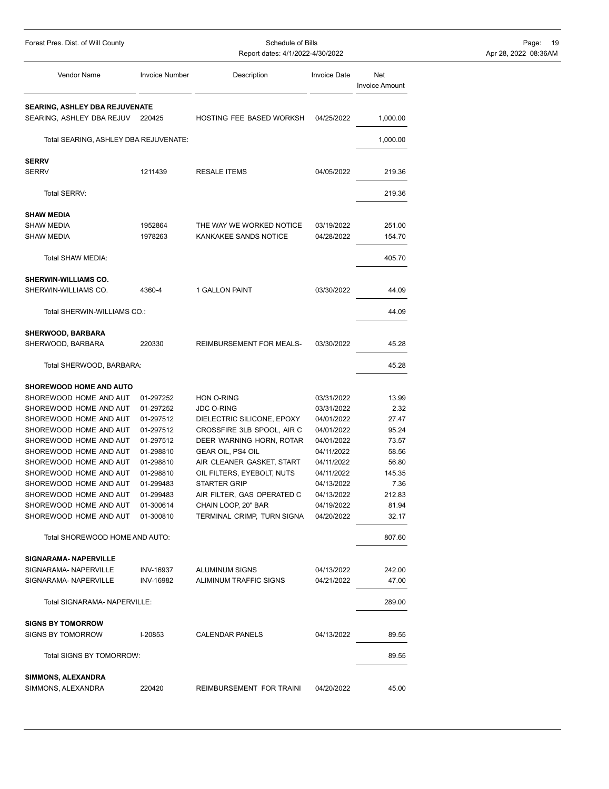| Forest Pres. Dist. of Will County                |                        | Schedule of Bills<br>Report dates: 4/1/2022-4/30/2022 | Page:<br>19<br>Apr 28, 2022 08:36AM |                              |  |
|--------------------------------------------------|------------------------|-------------------------------------------------------|-------------------------------------|------------------------------|--|
| Vendor Name                                      | <b>Invoice Number</b>  | Description                                           | <b>Invoice Date</b>                 | Net<br><b>Invoice Amount</b> |  |
| SEARING, ASHLEY DBA REJUVENATE                   |                        |                                                       |                                     |                              |  |
| SEARING, ASHLEY DBA REJUV 220425                 |                        | HOSTING FEE BASED WORKSH                              | 04/25/2022                          | 1,000.00                     |  |
| Total SEARING, ASHLEY DBA REJUVENATE:            |                        |                                                       |                                     | 1,000.00                     |  |
| <b>SERRV</b>                                     |                        |                                                       |                                     |                              |  |
| <b>SERRV</b>                                     | 1211439                | <b>RESALE ITEMS</b>                                   | 04/05/2022                          | 219.36                       |  |
| Total SERRV:                                     |                        |                                                       |                                     | 219.36                       |  |
| <b>SHAW MEDIA</b>                                |                        |                                                       |                                     |                              |  |
| <b>SHAW MEDIA</b>                                | 1952864                | THE WAY WE WORKED NOTICE                              | 03/19/2022                          | 251.00                       |  |
| SHAW MEDIA                                       | 1978263                | KANKAKEE SANDS NOTICE                                 | 04/28/2022                          | 154.70                       |  |
| Total SHAW MEDIA:                                |                        |                                                       |                                     | 405.70                       |  |
| <b>SHERWIN-WILLIAMS CO.</b>                      |                        |                                                       |                                     |                              |  |
| SHERWIN-WILLIAMS CO.                             | 4360-4                 | 1 GALLON PAINT                                        | 03/30/2022                          | 44.09                        |  |
| Total SHERWIN-WILLIAMS CO.:                      |                        |                                                       |                                     | 44.09                        |  |
| <b>SHERWOOD, BARBARA</b>                         |                        |                                                       |                                     |                              |  |
| SHERWOOD, BARBARA                                | 220330                 | REIMBURSEMENT FOR MEALS-                              | 03/30/2022                          | 45.28                        |  |
| Total SHERWOOD, BARBARA:                         |                        |                                                       |                                     | 45.28                        |  |
| <b>SHOREWOOD HOME AND AUTO</b>                   |                        |                                                       |                                     |                              |  |
| SHOREWOOD HOME AND AUT                           | 01-297252              | HON O-RING                                            | 03/31/2022                          | 13.99                        |  |
| SHOREWOOD HOME AND AUT                           | 01-297252              | <b>JDC O-RING</b>                                     | 03/31/2022                          | 2.32                         |  |
| SHOREWOOD HOME AND AUT                           | 01-297512              | DIELECTRIC SILICONE, EPOXY                            | 04/01/2022                          | 27.47                        |  |
| SHOREWOOD HOME AND AUT                           | 01-297512              | CROSSFIRE 3LB SPOOL, AIR C                            | 04/01/2022                          | 95.24                        |  |
| SHOREWOOD HOME AND AUT                           | 01-297512              | DEER WARNING HORN, ROTAR                              | 04/01/2022                          | 73.57                        |  |
| SHOREWOOD HOME AND AUT                           | 01-298810              | GEAR OIL, PS4 OIL                                     | 04/11/2022                          | 58.56                        |  |
| SHOREWOOD HOME AND AUT                           | 01-298810              | AIR CLEANER GASKET, START                             | 04/11/2022                          | 56.80                        |  |
| SHOREWOOD HOME AND AUT                           | 01-298810              | OIL FILTERS, EYEBOLT, NUTS                            | 04/11/2022                          | 145.35                       |  |
| SHOREWOOD HOME AND AUT                           | 01-299483              | <b>STARTER GRIP</b>                                   | 04/13/2022                          | 7.36                         |  |
| SHOREWOOD HOME AND AUT                           | 01-299483              | AIR FILTER, GAS OPERATED C                            | 04/13/2022                          | 212.83                       |  |
| SHOREWOOD HOME AND AUT<br>SHOREWOOD HOME AND AUT | 01-300614<br>01-300810 | CHAIN LOOP, 20" BAR<br>TERMINAL CRIMP, TURN SIGNA     | 04/19/2022<br>04/20/2022            | 81.94<br>32.17               |  |
|                                                  |                        |                                                       |                                     |                              |  |
| Total SHOREWOOD HOME AND AUTO:                   |                        |                                                       |                                     | 807.60                       |  |
| SIGNARAMA-NAPERVILLE                             |                        |                                                       |                                     |                              |  |
| SIGNARAMA- NAPERVILLE                            | <b>INV-16937</b>       | ALUMINUM SIGNS                                        | 04/13/2022                          | 242.00                       |  |
| SIGNARAMA- NAPERVILLE                            | <b>INV-16982</b>       | ALIMINUM TRAFFIC SIGNS                                | 04/21/2022                          | 47.00                        |  |
| Total SIGNARAMA- NAPERVILLE:                     |                        |                                                       |                                     | 289.00                       |  |
| <b>SIGNS BY TOMORROW</b>                         |                        |                                                       |                                     |                              |  |
| <b>SIGNS BY TOMORROW</b>                         | I-20853                | <b>CALENDAR PANELS</b>                                | 04/13/2022                          | 89.55                        |  |
| Total SIGNS BY TOMORROW:                         |                        |                                                       |                                     | 89.55                        |  |
| SIMMONS, ALEXANDRA                               |                        |                                                       |                                     |                              |  |
| SIMMONS, ALEXANDRA                               | 220420                 | REIMBURSEMENT FOR TRAINI                              | 04/20/2022                          | 45.00                        |  |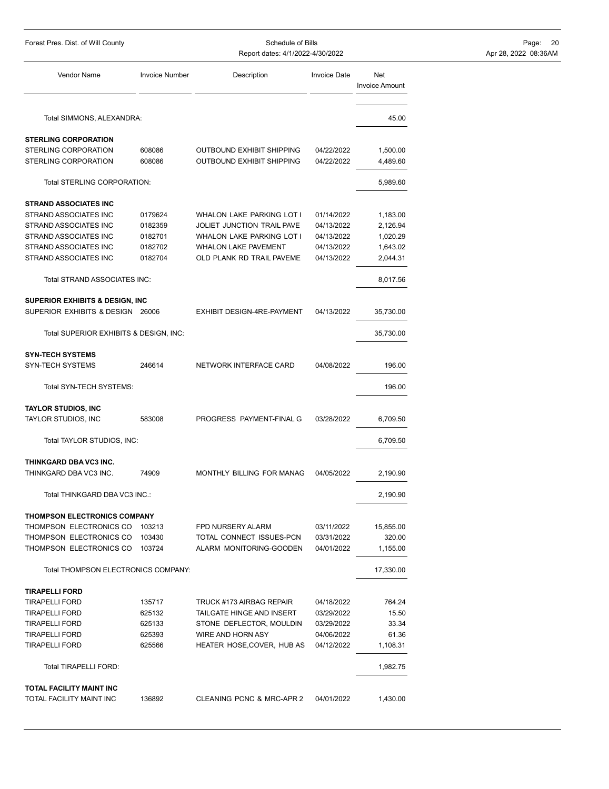| Forest Pres. Dist. of Will County                        |                       | Schedule of Bills<br>Report dates: 4/1/2022-4/30/2022 |                     | Page:<br>Apr 28, 2022 08:36AM |  |
|----------------------------------------------------------|-----------------------|-------------------------------------------------------|---------------------|-------------------------------|--|
| Vendor Name                                              | <b>Invoice Number</b> | Description                                           | <b>Invoice Date</b> | Net<br><b>Invoice Amount</b>  |  |
| Total SIMMONS, ALEXANDRA:                                |                       |                                                       |                     | 45.00                         |  |
| <b>STERLING CORPORATION</b>                              |                       |                                                       |                     |                               |  |
| STERLING CORPORATION                                     | 608086                | OUTBOUND EXHIBIT SHIPPING                             | 04/22/2022          | 1,500.00                      |  |
| STERLING CORPORATION                                     | 608086                | <b>OUTBOUND EXHIBIT SHIPPING</b>                      | 04/22/2022          | 4,489.60                      |  |
| Total STERLING CORPORATION:                              |                       |                                                       |                     | 5,989.60                      |  |
| <b>STRAND ASSOCIATES INC</b>                             |                       |                                                       |                     |                               |  |
| STRAND ASSOCIATES INC                                    | 0179624               | WHALON LAKE PARKING LOT I                             | 01/14/2022          | 1,183.00                      |  |
| STRAND ASSOCIATES INC                                    | 0182359               | JOLIET JUNCTION TRAIL PAVE                            | 04/13/2022          | 2,126.94                      |  |
| STRAND ASSOCIATES INC                                    | 0182701               | WHALON LAKE PARKING LOT I                             | 04/13/2022          | 1,020.29                      |  |
| STRAND ASSOCIATES INC                                    | 0182702               | <b>WHALON LAKE PAVEMENT</b>                           | 04/13/2022          | 1,643.02                      |  |
| STRAND ASSOCIATES INC                                    | 0182704               | OLD PLANK RD TRAIL PAVEME                             | 04/13/2022          | 2,044.31                      |  |
| Total STRAND ASSOCIATES INC:                             |                       |                                                       |                     | 8,017.56                      |  |
| <b>SUPERIOR EXHIBITS &amp; DESIGN, INC</b>               |                       |                                                       |                     |                               |  |
| SUPERIOR EXHIBITS & DESIGN 26006                         |                       | EXHIBIT DESIGN-4RE-PAYMENT                            | 04/13/2022          | 35,730.00                     |  |
| Total SUPERIOR EXHIBITS & DESIGN, INC:                   |                       |                                                       |                     | 35,730.00                     |  |
| <b>SYN-TECH SYSTEMS</b>                                  |                       |                                                       |                     |                               |  |
| <b>SYN-TECH SYSTEMS</b>                                  | 246614                | NETWORK INTERFACE CARD                                | 04/08/2022          | 196.00                        |  |
| Total SYN-TECH SYSTEMS:                                  |                       |                                                       |                     | 196.00                        |  |
| <b>TAYLOR STUDIOS, INC</b><br><b>TAYLOR STUDIOS, INC</b> | 583008                | PROGRESS PAYMENT-FINAL G                              | 03/28/2022          | 6,709.50                      |  |
|                                                          |                       |                                                       |                     |                               |  |
| Total TAYLOR STUDIOS, INC:                               |                       |                                                       |                     | 6,709.50                      |  |
| THINKGARD DBA VC3 INC.                                   |                       |                                                       |                     |                               |  |
| THINKGARD DBA VC3 INC.                                   | 74909                 | MONTHLY BILLING FOR MANAG                             | 04/05/2022          | 2,190.90                      |  |
| Total THINKGARD DBA VC3 INC.:                            |                       |                                                       |                     | 2,190.90                      |  |
| <b>THOMPSON ELECTRONICS COMPANY</b>                      |                       |                                                       |                     |                               |  |
| THOMPSON ELECTRONICS CO                                  | 103213                | FPD NURSERY ALARM                                     | 03/11/2022          | 15,855.00                     |  |
| THOMPSON ELECTRONICS CO                                  | 103430                | TOTAL CONNECT ISSUES-PCN                              | 03/31/2022          | 320.00                        |  |
| THOMPSON ELECTRONICS CO                                  | 103724                | ALARM MONITORING-GOODEN                               | 04/01/2022          | 1,155.00                      |  |
| Total THOMPSON ELECTRONICS COMPANY:                      |                       |                                                       |                     | 17,330.00                     |  |
| <b>TIRAPELLI FORD</b>                                    |                       |                                                       |                     |                               |  |
| <b>TIRAPELLI FORD</b>                                    | 135717                | TRUCK #173 AIRBAG REPAIR                              | 04/18/2022          | 764.24                        |  |
| <b>TIRAPELLI FORD</b>                                    | 625132                | TAILGATE HINGE AND INSERT                             | 03/29/2022          | 15.50                         |  |
| <b>TIRAPELLI FORD</b>                                    | 625133                | STONE DEFLECTOR, MOULDIN                              | 03/29/2022          | 33.34                         |  |
| <b>TIRAPELLI FORD</b>                                    | 625393                | WIRE AND HORN ASY                                     | 04/06/2022          | 61.36                         |  |
| <b>TIRAPELLI FORD</b>                                    | 625566                | HEATER HOSE, COVER, HUB AS                            | 04/12/2022          | 1,108.31                      |  |
| Total TIRAPELLI FORD:                                    |                       |                                                       |                     | 1,982.75                      |  |
| TOTAL FACILITY MAINT INC                                 |                       |                                                       |                     |                               |  |
| TOTAL FACILITY MAINT INC                                 | 136892                | CLEANING PCNC & MRC-APR 2                             | 04/01/2022          | 1,430.00                      |  |
|                                                          |                       |                                                       |                     |                               |  |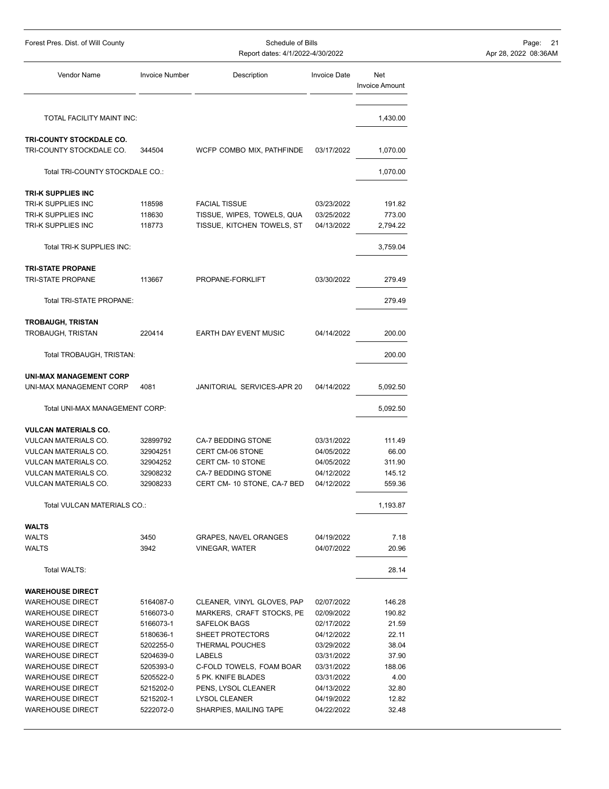| Forest Pres. Dist. of Will County |                       | Schedule of Bills<br>Report dates: 4/1/2022-4/30/2022 | Page: 21<br>Apr 28, 2022 08:36AM |                              |  |
|-----------------------------------|-----------------------|-------------------------------------------------------|----------------------------------|------------------------------|--|
| Vendor Name                       | <b>Invoice Number</b> | Description                                           | <b>Invoice Date</b>              | Net<br><b>Invoice Amount</b> |  |
| TOTAL FACILITY MAINT INC:         |                       |                                                       |                                  | 1,430.00                     |  |
| TRI-COUNTY STOCKDALE CO.          |                       |                                                       |                                  |                              |  |
| TRI-COUNTY STOCKDALE CO.          | 344504                | WCFP COMBO MIX, PATHFINDE                             | 03/17/2022                       | 1,070.00                     |  |
| Total TRI-COUNTY STOCKDALE CO.:   |                       |                                                       |                                  | 1,070.00                     |  |
| TRI-K SUPPLIES INC                |                       |                                                       |                                  |                              |  |
| TRI-K SUPPLIES INC                | 118598                | <b>FACIAL TISSUE</b>                                  | 03/23/2022                       | 191.82                       |  |
| TRI-K SUPPLIES INC                | 118630                | TISSUE, WIPES, TOWELS, QUA                            | 03/25/2022                       | 773.00                       |  |
| TRI-K SUPPLIES INC                | 118773                | TISSUE, KITCHEN TOWELS, ST                            | 04/13/2022                       | 2,794.22                     |  |
| Total TRI-K SUPPLIES INC:         |                       |                                                       |                                  | 3,759.04                     |  |
| <b>TRI-STATE PROPANE</b>          |                       |                                                       |                                  |                              |  |
| TRI-STATE PROPANE                 | 113667                | PROPANE-FORKLIFT                                      | 03/30/2022                       | 279.49                       |  |
| Total TRI-STATE PROPANE:          |                       |                                                       |                                  | 279.49                       |  |
| <b>TROBAUGH, TRISTAN</b>          |                       |                                                       |                                  |                              |  |
| TROBAUGH, TRISTAN                 | 220414                | EARTH DAY EVENT MUSIC                                 | 04/14/2022                       | 200.00                       |  |
| Total TROBAUGH, TRISTAN:          |                       |                                                       |                                  | 200.00                       |  |
| <b>UNI-MAX MANAGEMENT CORP</b>    |                       |                                                       |                                  |                              |  |
| UNI-MAX MANAGEMENT CORP           | 4081                  | JANITORIAL SERVICES-APR 20                            | 04/14/2022                       | 5,092.50                     |  |
| Total UNI-MAX MANAGEMENT CORP:    |                       |                                                       |                                  | 5,092.50                     |  |
| <b>VULCAN MATERIALS CO.</b>       |                       |                                                       |                                  |                              |  |
| <b>VULCAN MATERIALS CO.</b>       | 32899792              | CA-7 BEDDING STONE                                    | 03/31/2022                       | 111.49                       |  |
| <b>VULCAN MATERIALS CO.</b>       | 32904251              | CERT CM-06 STONE                                      | 04/05/2022                       | 66.00                        |  |
| <b>VULCAN MATERIALS CO.</b>       | 32904252              | CERT CM-10 STONE                                      | 04/05/2022                       | 311.90                       |  |
| <b>VULCAN MATERIALS CO.</b>       | 32908232              | CA-7 BEDDING STONE                                    | 04/12/2022                       | 145.12                       |  |
| <b>VULCAN MATERIALS CO.</b>       | 32908233              | CERT CM- 10 STONE, CA-7 BED                           | 04/12/2022                       | 559.36                       |  |
| Total VULCAN MATERIALS CO.:       |                       |                                                       |                                  | 1,193.87                     |  |
| <b>WALTS</b>                      |                       |                                                       |                                  |                              |  |
| <b>WALTS</b>                      | 3450                  | <b>GRAPES, NAVEL ORANGES</b>                          | 04/19/2022                       | 7.18                         |  |
| <b>WALTS</b>                      | 3942                  | <b>VINEGAR, WATER</b>                                 | 04/07/2022                       | 20.96                        |  |
| <b>Total WALTS:</b>               |                       |                                                       |                                  | 28.14                        |  |
| <b>WAREHOUSE DIRECT</b>           |                       |                                                       |                                  |                              |  |
| <b>WAREHOUSE DIRECT</b>           | 5164087-0             | CLEANER, VINYL GLOVES, PAP                            | 02/07/2022                       | 146.28                       |  |
| <b>WAREHOUSE DIRECT</b>           | 5166073-0             | MARKERS, CRAFT STOCKS, PE                             | 02/09/2022                       | 190.82                       |  |
| <b>WAREHOUSE DIRECT</b>           | 5166073-1             | SAFELOK BAGS                                          | 02/17/2022                       | 21.59                        |  |
| <b>WAREHOUSE DIRECT</b>           | 5180636-1             | SHEET PROTECTORS                                      | 04/12/2022                       | 22.11                        |  |
| <b>WAREHOUSE DIRECT</b>           | 5202255-0             | THERMAL POUCHES                                       | 03/29/2022                       | 38.04                        |  |
| <b>WAREHOUSE DIRECT</b>           | 5204639-0             | LABELS                                                | 03/31/2022                       | 37.90                        |  |
| <b>WAREHOUSE DIRECT</b>           | 5205393-0             | C-FOLD TOWELS, FOAM BOAR                              | 03/31/2022                       | 188.06                       |  |
| <b>WAREHOUSE DIRECT</b>           | 5205522-0             | 5 PK. KNIFE BLADES                                    | 03/31/2022                       | 4.00                         |  |
| <b>WAREHOUSE DIRECT</b>           | 5215202-0             | PENS, LYSOL CLEANER                                   | 04/13/2022                       | 32.80                        |  |
| <b>WAREHOUSE DIRECT</b>           | 5215202-1             | LYSOL CLEANER                                         | 04/19/2022                       | 12.82                        |  |
| <b>WAREHOUSE DIRECT</b>           | 5222072-0             | SHARPIES, MAILING TAPE                                | 04/22/2022                       | 32.48                        |  |
|                                   |                       |                                                       |                                  |                              |  |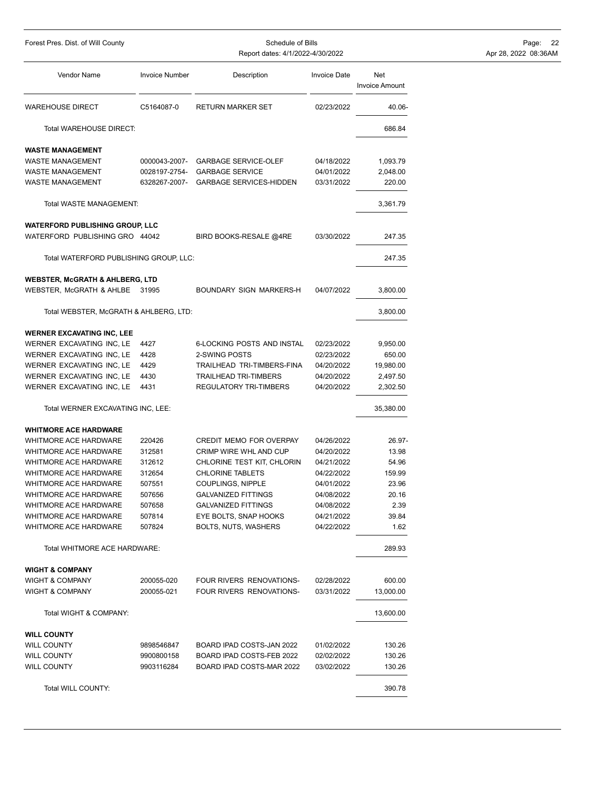Forest Pres. Dist. of Will County **Schedule of Bills** Page: 22<br>Report dates: 4/1/2022-4/30/2022<br>Apr 28, 2022 08:36AM Report dates: 4/1/2022-4/30/2022

| Vendor Name                                | <b>Invoice Number</b> | Description                       | <b>Invoice Date</b> | Net<br><b>Invoice Amount</b> |
|--------------------------------------------|-----------------------|-----------------------------------|---------------------|------------------------------|
| WAREHOUSE DIRECT                           | C5164087-0            | <b>RETURN MARKER SET</b>          | 02/23/2022          | 40.06-                       |
| <b>Total WAREHOUSE DIRECT:</b>             |                       |                                   |                     | 686.84                       |
| <b>WASTE MANAGEMENT</b>                    |                       |                                   |                     |                              |
| WASTE MANAGEMENT                           | 0000043-2007-         | <b>GARBAGE SERVICE-OLEF</b>       | 04/18/2022          | 1,093.79                     |
| WASTE MANAGEMENT                           | 0028197-2754-         | <b>GARBAGE SERVICE</b>            | 04/01/2022          | 2,048.00                     |
| WASTE MANAGEMENT                           | 6328267-2007-         | <b>GARBAGE SERVICES-HIDDEN</b>    | 03/31/2022          | 220.00                       |
| Total WASTE MANAGEMENT:                    |                       |                                   |                     | 3,361.79                     |
| <b>WATERFORD PUBLISHING GROUP, LLC</b>     |                       |                                   |                     |                              |
| WATERFORD PUBLISHING GRO 44042             |                       | BIRD BOOKS-RESALE @4RE            | 03/30/2022          | 247.35                       |
| Total WATERFORD PUBLISHING GROUP, LLC:     |                       |                                   |                     | 247.35                       |
| <b>WEBSTER, McGRATH &amp; AHLBERG, LTD</b> |                       |                                   |                     |                              |
| WEBSTER, McGRATH & AHLBE                   | 31995                 | <b>BOUNDARY SIGN MARKERS-H</b>    | 04/07/2022          | 3,800.00                     |
| Total WEBSTER, McGRATH & AHLBERG, LTD:     |                       |                                   |                     | 3,800.00                     |
| <b>WERNER EXCAVATING INC, LEE</b>          |                       |                                   |                     |                              |
| WERNER EXCAVATING INC, LE                  | 4427                  | <b>6-LOCKING POSTS AND INSTAL</b> | 02/23/2022          | 9,950.00                     |
| WERNER EXCAVATING INC, LE                  | 4428                  | 2-SWING POSTS                     | 02/23/2022          | 650.00                       |
| WERNER EXCAVATING INC, LE                  | 4429                  | TRAILHEAD TRI-TIMBERS-FINA        | 04/20/2022          | 19,980.00                    |
| WERNER EXCAVATING INC, LE                  | 4430                  | <b>TRAILHEAD TRI-TIMBERS</b>      | 04/20/2022          | 2,497.50                     |
| WERNER EXCAVATING INC, LE                  | 4431                  | <b>REGULATORY TRI-TIMBERS</b>     | 04/20/2022          | 2,302.50                     |
| Total WERNER EXCAVATING INC, LEE:          |                       |                                   |                     | 35,380.00                    |
| <b>WHITMORE ACE HARDWARE</b>               |                       |                                   |                     |                              |
| <b>WHITMORE ACE HARDWARE</b>               | 220426                | <b>CREDIT MEMO FOR OVERPAY</b>    | 04/26/2022          | 26.97-                       |
| WHITMORE ACE HARDWARE                      | 312581                | CRIMP WIRE WHL AND CUP            | 04/20/2022          | 13.98                        |
| WHITMORE ACE HARDWARE                      | 312612                | CHLORINE TEST KIT, CHLORIN        | 04/21/2022          | 54.96                        |
| WHITMORE ACE HARDWARE                      | 312654                | <b>CHLORINE TABLETS</b>           | 04/22/2022          | 159.99                       |
| <b>WHITMORE ACE HARDWARE</b>               | 507551                | <b>COUPLINGS, NIPPLE</b>          | 04/01/2022          | 23.96                        |
| WHITMORE ACE HARDWARE                      | 507656                | <b>GALVANIZED FITTINGS</b>        | 04/08/2022          | 20.16                        |
| <b>WHITMORE ACE HARDWARE</b>               | 507658                | <b>GALVANIZED FITTINGS</b>        | 04/08/2022          | 2.39                         |
| WHITMORE ACE HARDWARE                      | 507814                | EYE BOLTS, SNAP HOOKS             | 04/21/2022          | 39.84                        |
| WHITMORE ACE HARDWARE                      | 507824                | <b>BOLTS, NUTS, WASHERS</b>       | 04/22/2022          | 1.62                         |
| Total WHITMORE ACE HARDWARE:               |                       |                                   |                     | 289.93                       |
| <b>WIGHT &amp; COMPANY</b>                 |                       |                                   |                     |                              |
| <b>WIGHT &amp; COMPANY</b>                 | 200055-020            | FOUR RIVERS RENOVATIONS-          | 02/28/2022          | 600.00                       |
| <b>WIGHT &amp; COMPANY</b>                 | 200055-021            | FOUR RIVERS RENOVATIONS-          | 03/31/2022          | 13,000.00                    |
| Total WIGHT & COMPANY:                     |                       |                                   |                     | 13,600.00                    |
| <b>WILL COUNTY</b>                         |                       |                                   |                     |                              |
| WILL COUNTY                                | 9898546847            | BOARD IPAD COSTS-JAN 2022         | 01/02/2022          | 130.26                       |
| WILL COUNTY                                | 9900800158            | BOARD IPAD COSTS-FEB 2022         | 02/02/2022          | 130.26                       |
| WILL COUNTY                                | 9903116284            | BOARD IPAD COSTS-MAR 2022         | 03/02/2022          | 130.26                       |
| Total WILL COUNTY:                         |                       |                                   |                     | 390.78                       |